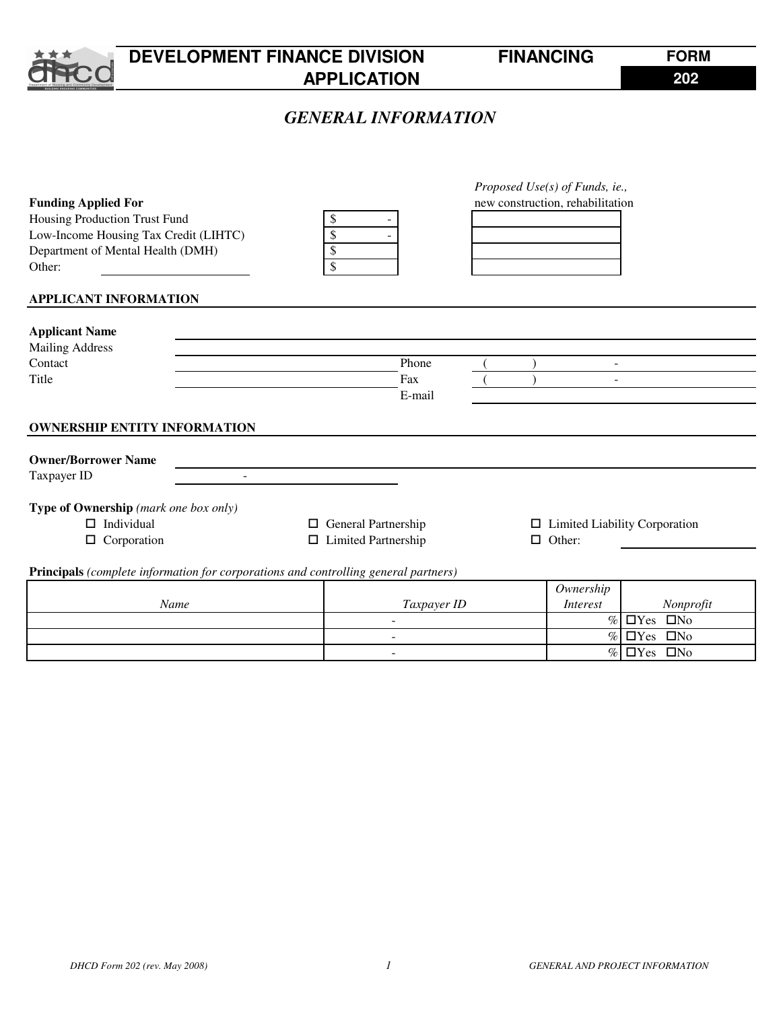

# **DEVELOPMENT FINANCE DIVISION FINANCING APPLICATION**

 $\%$   $\Box$ Yes  $\Box$ No

**FORM 202**

# *GENERAL INFORMATION*

|                                                                                     |                            |             | Proposed Use(s) of Funds, ie.,       |                           |
|-------------------------------------------------------------------------------------|----------------------------|-------------|--------------------------------------|---------------------------|
| <b>Funding Applied For</b>                                                          |                            |             | new construction, rehabilitation     |                           |
| Housing Production Trust Fund                                                       | \$                         |             |                                      |                           |
| Low-Income Housing Tax Credit (LIHTC)                                               | \$                         |             |                                      |                           |
| Department of Mental Health (DMH)                                                   | \$                         |             |                                      |                           |
| Other:                                                                              | \$                         |             |                                      |                           |
| <b>APPLICANT INFORMATION</b>                                                        |                            |             |                                      |                           |
|                                                                                     |                            |             |                                      |                           |
| <b>Applicant Name</b>                                                               |                            |             |                                      |                           |
| <b>Mailing Address</b>                                                              |                            |             |                                      |                           |
| Contact                                                                             |                            | Phone       | $\overline{a}$                       |                           |
| Title                                                                               |                            | Fax         | $\overline{\phantom{a}}$             |                           |
|                                                                                     |                            | E-mail      |                                      |                           |
|                                                                                     |                            |             |                                      |                           |
| <b>OWNERSHIP ENTITY INFORMATION</b>                                                 |                            |             |                                      |                           |
|                                                                                     |                            |             |                                      |                           |
| <b>Owner/Borrower Name</b>                                                          |                            |             |                                      |                           |
| Taxpayer ID                                                                         |                            |             |                                      |                           |
| Type of Ownership (mark one box only)                                               |                            |             |                                      |                           |
| $\Box$ Individual                                                                   | General Partnership<br>0   |             | $\Box$ Limited Liability Corporation |                           |
| $\Box$ Corporation                                                                  | $\Box$ Limited Partnership |             | $\Box$ Other:                        |                           |
|                                                                                     |                            |             |                                      |                           |
| Principals (complete information for corporations and controlling general partners) |                            |             |                                      |                           |
|                                                                                     |                            |             | Ownership                            |                           |
| Name                                                                                |                            | Taxpayer ID | <b>Interest</b>                      | Nonprofit                 |
|                                                                                     |                            |             | $\%$                                 | $\Box$ Yes $\Box$ No      |
|                                                                                     |                            |             |                                      | $\%$ $\Box$ Yes $\Box$ No |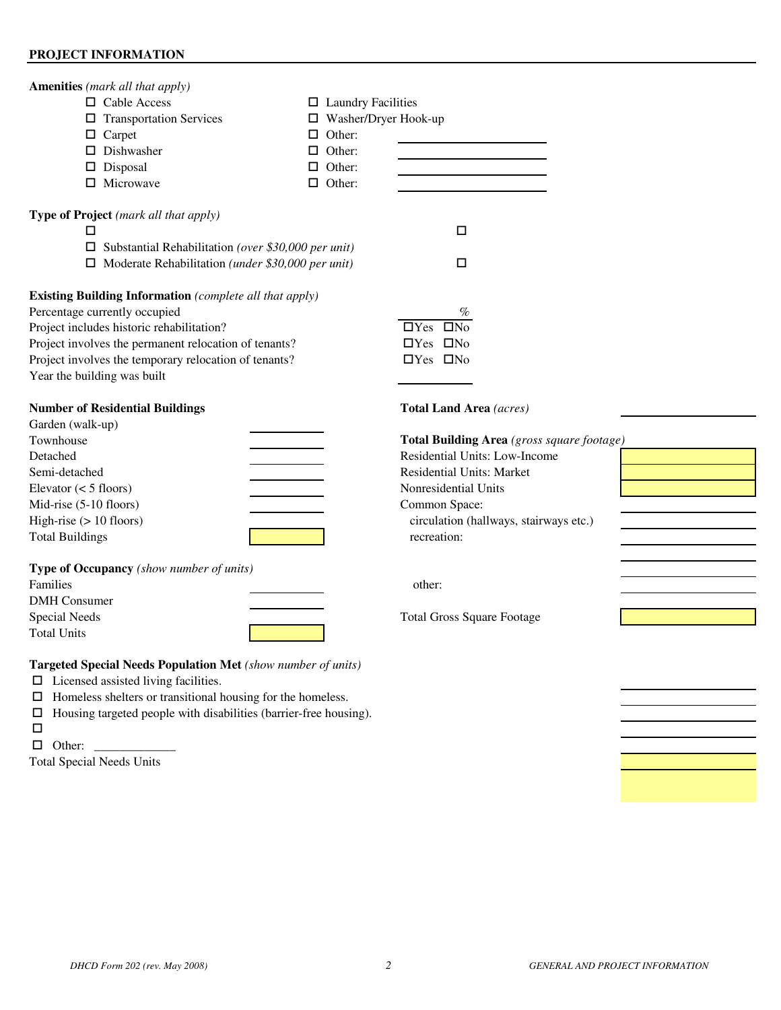### **PROJECT INFORMATION**

| <b>Amenities</b> (mark all that apply)<br>□ Cable Access<br>$\Box$ Transportation Services<br>$\Box$ Carpet<br>$\square$ Dishwasher<br>$\square$ Disposal<br>$\Box$ Microwave                                                                                                                 | $\Box$ Laundry Facilities<br>$\Box$ Washer/Dryer Hook-up<br>$\Box$ Other:<br>$\Box$ Other:<br>$\Box$ Other:<br>$\Box$ Other: |                                                                                                                                                                                                                                               |
|-----------------------------------------------------------------------------------------------------------------------------------------------------------------------------------------------------------------------------------------------------------------------------------------------|------------------------------------------------------------------------------------------------------------------------------|-----------------------------------------------------------------------------------------------------------------------------------------------------------------------------------------------------------------------------------------------|
| Type of Project (mark all that apply)<br>□<br>$\square$ Substantial Rehabilitation (over \$30,000 per unit)<br>$\Box$ Moderate Rehabilitation (under \$30,000 per unit)                                                                                                                       |                                                                                                                              | □<br>□                                                                                                                                                                                                                                        |
| <b>Existing Building Information</b> (complete all that apply)<br>Percentage currently occupied<br>Project includes historic rehabilitation?<br>Project involves the permanent relocation of tenants?<br>Project involves the temporary relocation of tenants?<br>Year the building was built |                                                                                                                              | %<br>$\Box$ Yes $\Box$ No<br>$\Box$ Yes $\Box$ No<br>$\Box$ Yes $\Box$ No                                                                                                                                                                     |
| <b>Number of Residential Buildings</b><br>Garden (walk-up)<br>Townhouse<br>Detached<br>Semi-detached<br>Elevator $(< 5$ floors)<br>Mid-rise (5-10 floors)<br>High-rise $(> 10$ floors)<br><b>Total Buildings</b>                                                                              |                                                                                                                              | <b>Total Land Area</b> (acres)<br>Total Building Area (gross square fo<br>Residential Units: Low-Income<br><b>Residential Units: Market</b><br>Nonresidential Units<br>Common Space:<br>circulation (hallways, stairways etc.)<br>recreation: |
| Type of Occupancy (show number of units)<br>Families<br><b>DMH</b> Consumer<br><b>Special Needs</b><br><b>Total Units</b>                                                                                                                                                                     |                                                                                                                              | other:<br><b>Total Gross Square Footage</b>                                                                                                                                                                                                   |

**Targeted Special Needs Population Met** *(show number of units)*

- $\square$  Licensed assisted living facilities.
- $\Box$  Homeless shelters or transitional housing for the homeless.
- $\Box$  Housing targeted people with disabilities (barrier-free housing).
- $\Box$
- $\Box$  Other:

Total Special Needs Units

# Townhouse **Total Building Area** *(gross square footage)*

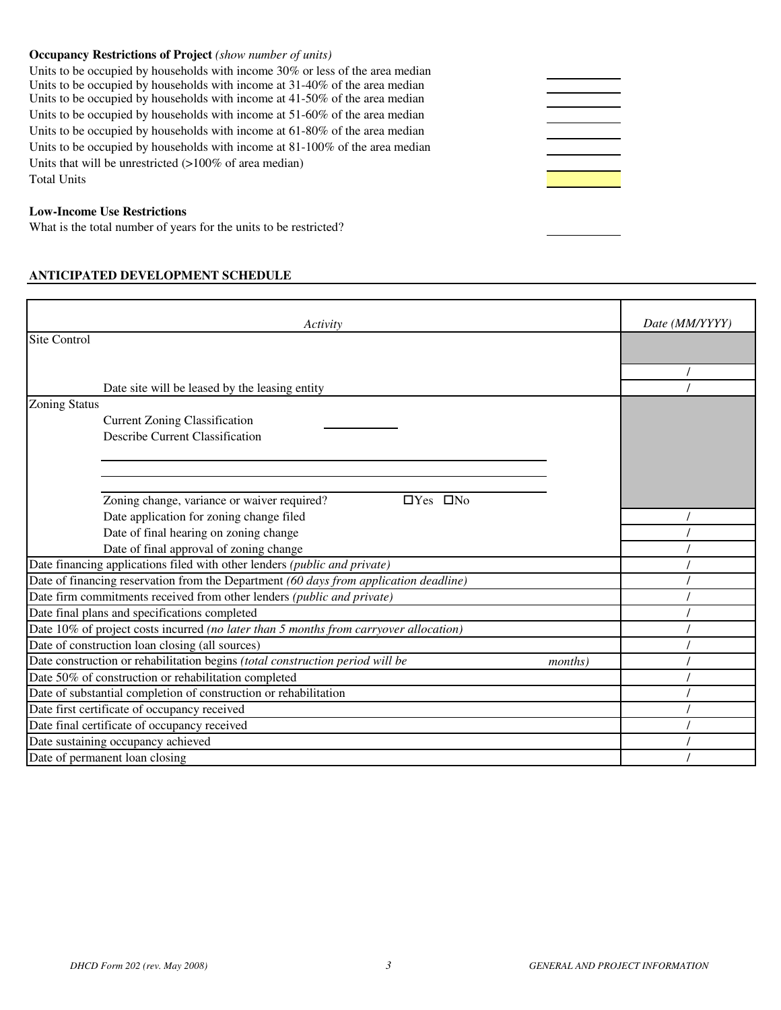#### **Occupancy Restrictions of Project** *(show number of units)*

Units to be occupied by households with income 30% or less of the area median Units to be occupied by households with income at 31-40% of the area median Units to be occupied by households with income at 41-50% of the area median Units to be occupied by households with income at 51-60% of the area median Units to be occupied by households with income at 61-80% of the area median Units to be occupied by households with income at 81-100% of the area median Units that will be unrestricted (>100% of area median) Total Units

#### **Low-Income Use Restrictions**

What is the total number of years for the units to be restricted?

#### **ANTICIPATED DEVELOPMENT SCHEDULE**

| Activity                                                                                         | Date (MM/YYYY) |
|--------------------------------------------------------------------------------------------------|----------------|
| <b>Site Control</b>                                                                              |                |
|                                                                                                  |                |
|                                                                                                  |                |
| Date site will be leased by the leasing entity                                                   |                |
| <b>Zoning Status</b>                                                                             |                |
| <b>Current Zoning Classification</b>                                                             |                |
| Describe Current Classification                                                                  |                |
|                                                                                                  |                |
|                                                                                                  |                |
|                                                                                                  |                |
| Zoning change, variance or waiver required?<br>$\Box$ Yes $\Box$ No                              |                |
| Date application for zoning change filed                                                         |                |
| Date of final hearing on zoning change                                                           |                |
| Date of final approval of zoning change                                                          |                |
| Date financing applications filed with other lenders (public and private)                        |                |
| Date of financing reservation from the Department (60 days from application deadline)            |                |
| Date firm commitments received from other lenders (public and private)                           |                |
| Date final plans and specifications completed                                                    |                |
| Date 10% of project costs incurred (no later than 5 months from carryover allocation)            |                |
| Date of construction loan closing (all sources)                                                  |                |
| Date construction or rehabilitation begins (total construction period will be<br><i>months</i> ) |                |
| Date 50% of construction or rehabilitation completed                                             |                |
| Date of substantial completion of construction or rehabilitation                                 |                |
| Date first certificate of occupancy received                                                     |                |
| Date final certificate of occupancy received                                                     |                |
| Date sustaining occupancy achieved                                                               |                |
| Date of permanent loan closing                                                                   |                |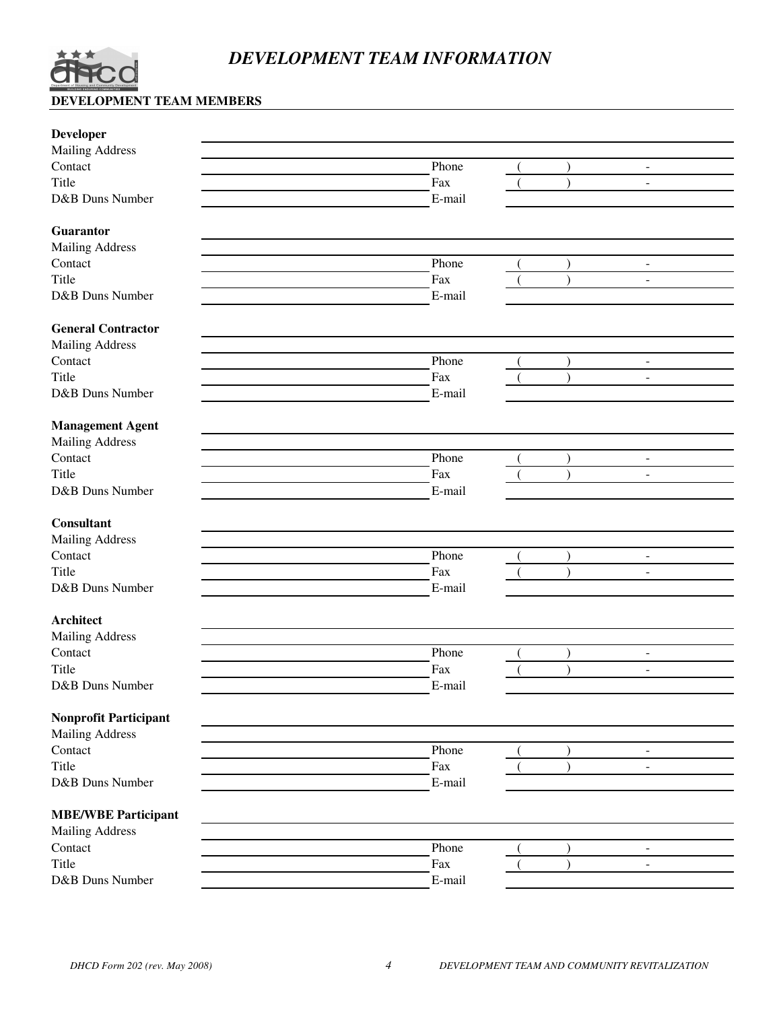

# *DEVELOPMENT TEAM INFORMATION*

# **DEVELOPMENT TEAM MEMBERS**

| Phone<br>Fax<br>$\blacksquare$<br>E-mail<br>Guarantor<br><b>Mailing Address</b><br>Contact<br>Phone<br>$\blacksquare$<br>Title<br>Fax<br>$\lambda$<br>$\overline{a}$<br>D&B Duns Number<br>E-mail<br><b>Mailing Address</b><br>Phone<br>$\blacksquare$<br>Fax<br>$\Box$<br>E-mail<br>Phone<br>$\overline{\phantom{a}}$<br>Fax<br>$\blacksquare$<br>E-mail<br><b>Mailing Address</b><br>Contact<br>Phone<br>$\overline{\phantom{a}}$<br>Title<br>Fax<br>$\lambda$<br>$\blacksquare$<br>D&B Duns Number<br>E-mail<br><b>Architect</b><br><b>Mailing Address</b><br>Contact<br>Phone<br>$\overline{\phantom{a}}$<br>Title<br>Fax<br>$\overline{\phantom{a}}$<br>D&B Duns Number<br>E-mail<br><b>Nonprofit Participant</b><br><b>Mailing Address</b><br>Phone<br>Contact<br>$\blacksquare$<br>Title<br>Fax<br>$\qquad \qquad \blacksquare$<br>D&B Duns Number<br>E-mail<br>Phone<br>۰<br>Fax<br>$\overline{\phantom{a}}$<br>E-mail | <b>Developer</b>           |  |  |  |
|--------------------------------------------------------------------------------------------------------------------------------------------------------------------------------------------------------------------------------------------------------------------------------------------------------------------------------------------------------------------------------------------------------------------------------------------------------------------------------------------------------------------------------------------------------------------------------------------------------------------------------------------------------------------------------------------------------------------------------------------------------------------------------------------------------------------------------------------------------------------------------------------------------------------------------|----------------------------|--|--|--|
|                                                                                                                                                                                                                                                                                                                                                                                                                                                                                                                                                                                                                                                                                                                                                                                                                                                                                                                                | <b>Mailing Address</b>     |  |  |  |
|                                                                                                                                                                                                                                                                                                                                                                                                                                                                                                                                                                                                                                                                                                                                                                                                                                                                                                                                | Contact                    |  |  |  |
|                                                                                                                                                                                                                                                                                                                                                                                                                                                                                                                                                                                                                                                                                                                                                                                                                                                                                                                                | Title                      |  |  |  |
|                                                                                                                                                                                                                                                                                                                                                                                                                                                                                                                                                                                                                                                                                                                                                                                                                                                                                                                                | D&B Duns Number            |  |  |  |
|                                                                                                                                                                                                                                                                                                                                                                                                                                                                                                                                                                                                                                                                                                                                                                                                                                                                                                                                |                            |  |  |  |
|                                                                                                                                                                                                                                                                                                                                                                                                                                                                                                                                                                                                                                                                                                                                                                                                                                                                                                                                |                            |  |  |  |
|                                                                                                                                                                                                                                                                                                                                                                                                                                                                                                                                                                                                                                                                                                                                                                                                                                                                                                                                |                            |  |  |  |
|                                                                                                                                                                                                                                                                                                                                                                                                                                                                                                                                                                                                                                                                                                                                                                                                                                                                                                                                |                            |  |  |  |
|                                                                                                                                                                                                                                                                                                                                                                                                                                                                                                                                                                                                                                                                                                                                                                                                                                                                                                                                |                            |  |  |  |
|                                                                                                                                                                                                                                                                                                                                                                                                                                                                                                                                                                                                                                                                                                                                                                                                                                                                                                                                |                            |  |  |  |
|                                                                                                                                                                                                                                                                                                                                                                                                                                                                                                                                                                                                                                                                                                                                                                                                                                                                                                                                | <b>General Contractor</b>  |  |  |  |
|                                                                                                                                                                                                                                                                                                                                                                                                                                                                                                                                                                                                                                                                                                                                                                                                                                                                                                                                |                            |  |  |  |
|                                                                                                                                                                                                                                                                                                                                                                                                                                                                                                                                                                                                                                                                                                                                                                                                                                                                                                                                | Contact                    |  |  |  |
|                                                                                                                                                                                                                                                                                                                                                                                                                                                                                                                                                                                                                                                                                                                                                                                                                                                                                                                                | Title                      |  |  |  |
|                                                                                                                                                                                                                                                                                                                                                                                                                                                                                                                                                                                                                                                                                                                                                                                                                                                                                                                                | D&B Duns Number            |  |  |  |
|                                                                                                                                                                                                                                                                                                                                                                                                                                                                                                                                                                                                                                                                                                                                                                                                                                                                                                                                |                            |  |  |  |
|                                                                                                                                                                                                                                                                                                                                                                                                                                                                                                                                                                                                                                                                                                                                                                                                                                                                                                                                | <b>Management Agent</b>    |  |  |  |
|                                                                                                                                                                                                                                                                                                                                                                                                                                                                                                                                                                                                                                                                                                                                                                                                                                                                                                                                | <b>Mailing Address</b>     |  |  |  |
|                                                                                                                                                                                                                                                                                                                                                                                                                                                                                                                                                                                                                                                                                                                                                                                                                                                                                                                                | Contact                    |  |  |  |
|                                                                                                                                                                                                                                                                                                                                                                                                                                                                                                                                                                                                                                                                                                                                                                                                                                                                                                                                | Title                      |  |  |  |
|                                                                                                                                                                                                                                                                                                                                                                                                                                                                                                                                                                                                                                                                                                                                                                                                                                                                                                                                | D&B Duns Number            |  |  |  |
|                                                                                                                                                                                                                                                                                                                                                                                                                                                                                                                                                                                                                                                                                                                                                                                                                                                                                                                                |                            |  |  |  |
|                                                                                                                                                                                                                                                                                                                                                                                                                                                                                                                                                                                                                                                                                                                                                                                                                                                                                                                                | <b>Consultant</b>          |  |  |  |
|                                                                                                                                                                                                                                                                                                                                                                                                                                                                                                                                                                                                                                                                                                                                                                                                                                                                                                                                |                            |  |  |  |
|                                                                                                                                                                                                                                                                                                                                                                                                                                                                                                                                                                                                                                                                                                                                                                                                                                                                                                                                |                            |  |  |  |
|                                                                                                                                                                                                                                                                                                                                                                                                                                                                                                                                                                                                                                                                                                                                                                                                                                                                                                                                |                            |  |  |  |
|                                                                                                                                                                                                                                                                                                                                                                                                                                                                                                                                                                                                                                                                                                                                                                                                                                                                                                                                |                            |  |  |  |
|                                                                                                                                                                                                                                                                                                                                                                                                                                                                                                                                                                                                                                                                                                                                                                                                                                                                                                                                |                            |  |  |  |
|                                                                                                                                                                                                                                                                                                                                                                                                                                                                                                                                                                                                                                                                                                                                                                                                                                                                                                                                |                            |  |  |  |
|                                                                                                                                                                                                                                                                                                                                                                                                                                                                                                                                                                                                                                                                                                                                                                                                                                                                                                                                |                            |  |  |  |
|                                                                                                                                                                                                                                                                                                                                                                                                                                                                                                                                                                                                                                                                                                                                                                                                                                                                                                                                |                            |  |  |  |
|                                                                                                                                                                                                                                                                                                                                                                                                                                                                                                                                                                                                                                                                                                                                                                                                                                                                                                                                |                            |  |  |  |
|                                                                                                                                                                                                                                                                                                                                                                                                                                                                                                                                                                                                                                                                                                                                                                                                                                                                                                                                |                            |  |  |  |
|                                                                                                                                                                                                                                                                                                                                                                                                                                                                                                                                                                                                                                                                                                                                                                                                                                                                                                                                |                            |  |  |  |
|                                                                                                                                                                                                                                                                                                                                                                                                                                                                                                                                                                                                                                                                                                                                                                                                                                                                                                                                |                            |  |  |  |
|                                                                                                                                                                                                                                                                                                                                                                                                                                                                                                                                                                                                                                                                                                                                                                                                                                                                                                                                |                            |  |  |  |
|                                                                                                                                                                                                                                                                                                                                                                                                                                                                                                                                                                                                                                                                                                                                                                                                                                                                                                                                |                            |  |  |  |
|                                                                                                                                                                                                                                                                                                                                                                                                                                                                                                                                                                                                                                                                                                                                                                                                                                                                                                                                |                            |  |  |  |
|                                                                                                                                                                                                                                                                                                                                                                                                                                                                                                                                                                                                                                                                                                                                                                                                                                                                                                                                |                            |  |  |  |
|                                                                                                                                                                                                                                                                                                                                                                                                                                                                                                                                                                                                                                                                                                                                                                                                                                                                                                                                | <b>MBE/WBE Participant</b> |  |  |  |
|                                                                                                                                                                                                                                                                                                                                                                                                                                                                                                                                                                                                                                                                                                                                                                                                                                                                                                                                | <b>Mailing Address</b>     |  |  |  |
|                                                                                                                                                                                                                                                                                                                                                                                                                                                                                                                                                                                                                                                                                                                                                                                                                                                                                                                                | Contact                    |  |  |  |
|                                                                                                                                                                                                                                                                                                                                                                                                                                                                                                                                                                                                                                                                                                                                                                                                                                                                                                                                | Title                      |  |  |  |
|                                                                                                                                                                                                                                                                                                                                                                                                                                                                                                                                                                                                                                                                                                                                                                                                                                                                                                                                | D&B Duns Number            |  |  |  |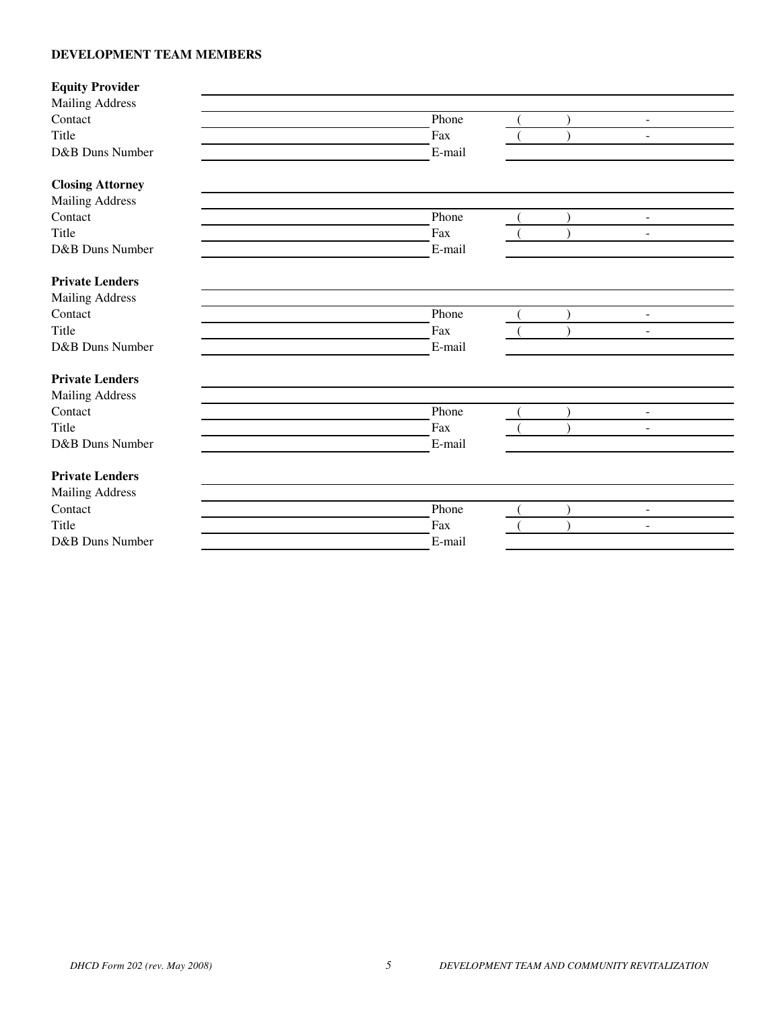# **DEVELOPMENT TEAM MEMBERS**

| <b>Equity Provider</b>  |        |  |                |  |
|-------------------------|--------|--|----------------|--|
| <b>Mailing Address</b>  |        |  |                |  |
| Contact                 | Phone  |  | $\sim$         |  |
| Title                   | Fax    |  | $\blacksquare$ |  |
| D&B Duns Number         | E-mail |  |                |  |
| <b>Closing Attorney</b> |        |  |                |  |
| <b>Mailing Address</b>  |        |  |                |  |
| Contact                 | Phone  |  | $\sim$         |  |
| Title                   | Fax    |  | $\blacksquare$ |  |
| D&B Duns Number         | E-mail |  |                |  |
| <b>Private Lenders</b>  |        |  |                |  |
| <b>Mailing Address</b>  |        |  |                |  |
| Contact                 | Phone  |  | $\sim$         |  |
| Title                   | Fax    |  | $\blacksquare$ |  |
| D&B Duns Number         | E-mail |  |                |  |
| <b>Private Lenders</b>  |        |  |                |  |
| <b>Mailing Address</b>  |        |  |                |  |
| Contact                 | Phone  |  | $\mathbf{r}$   |  |
| Title                   | Fax    |  | $\overline{a}$ |  |
| D&B Duns Number         | E-mail |  |                |  |
| <b>Private Lenders</b>  |        |  |                |  |
| <b>Mailing Address</b>  |        |  |                |  |
| Contact                 | Phone  |  | $\mathbf{r}$   |  |
| Title                   | Fax    |  | $\blacksquare$ |  |
| D&B Duns Number         | E-mail |  |                |  |
|                         |        |  |                |  |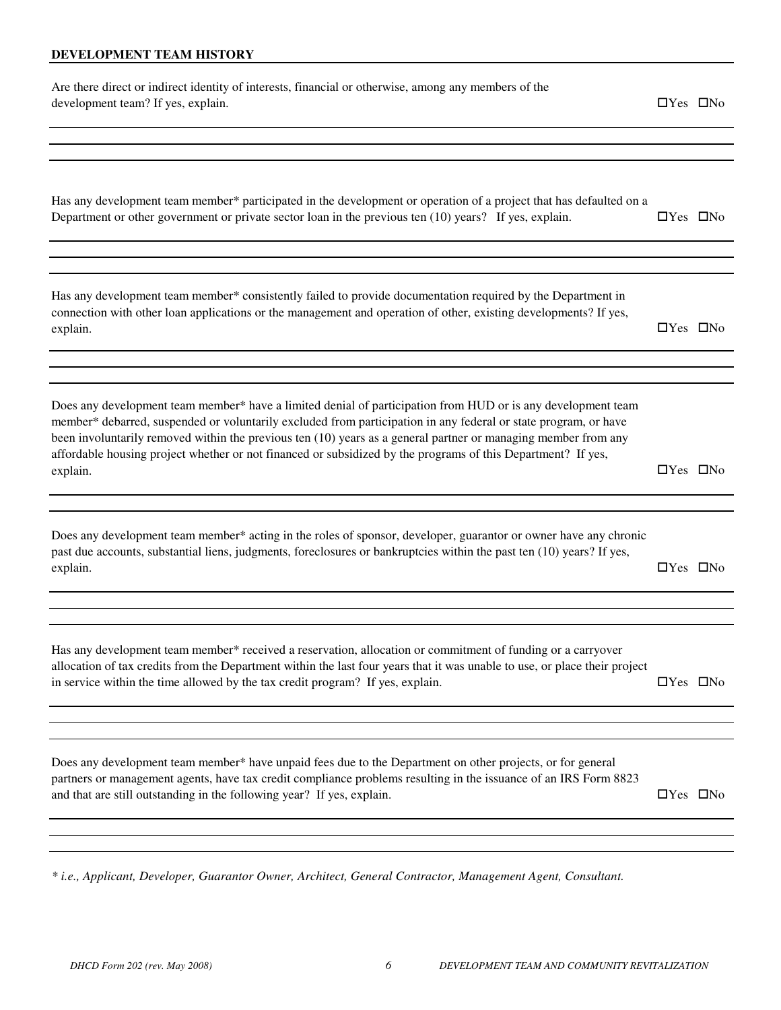### **DEVELOPMENT TEAM HISTORY**

| Are there direct or indirect identity of interests, financial or otherwise, among any members of the<br>development team? If yes, explain.                                                                                                                                                                                                                                                                                                                                    | $\Box$ Yes $\Box$ No |  |
|-------------------------------------------------------------------------------------------------------------------------------------------------------------------------------------------------------------------------------------------------------------------------------------------------------------------------------------------------------------------------------------------------------------------------------------------------------------------------------|----------------------|--|
|                                                                                                                                                                                                                                                                                                                                                                                                                                                                               |                      |  |
|                                                                                                                                                                                                                                                                                                                                                                                                                                                                               |                      |  |
| Has any development team member* participated in the development or operation of a project that has defaulted on a<br>Department or other government or private sector loan in the previous ten (10) years? If yes, explain.                                                                                                                                                                                                                                                  | $\Box$ Yes $\Box$ No |  |
|                                                                                                                                                                                                                                                                                                                                                                                                                                                                               |                      |  |
| Has any development team member* consistently failed to provide documentation required by the Department in<br>connection with other loan applications or the management and operation of other, existing developments? If yes,<br>explain.                                                                                                                                                                                                                                   | $\Box$ Yes $\Box$ No |  |
|                                                                                                                                                                                                                                                                                                                                                                                                                                                                               |                      |  |
|                                                                                                                                                                                                                                                                                                                                                                                                                                                                               |                      |  |
| Does any development team member* have a limited denial of participation from HUD or is any development team<br>member* debarred, suspended or voluntarily excluded from participation in any federal or state program, or have<br>been involuntarily removed within the previous ten (10) years as a general partner or managing member from any<br>affordable housing project whether or not financed or subsidized by the programs of this Department? If yes,<br>explain. | $\Box$ Yes $\Box$ No |  |
|                                                                                                                                                                                                                                                                                                                                                                                                                                                                               |                      |  |
| Does any development team member* acting in the roles of sponsor, developer, guarantor or owner have any chronic<br>past due accounts, substantial liens, judgments, foreclosures or bankruptcies within the past ten (10) years? If yes,<br>explain.                                                                                                                                                                                                                         | $\Box$ Yes $\Box$ No |  |
|                                                                                                                                                                                                                                                                                                                                                                                                                                                                               |                      |  |
|                                                                                                                                                                                                                                                                                                                                                                                                                                                                               |                      |  |
| Has any development team member* received a reservation, allocation or commitment of funding or a carryover<br>allocation of tax credits from the Department within the last four years that it was unable to use, or place their project<br>in service within the time allowed by the tax credit program? If yes, explain.                                                                                                                                                   | $\Box$ Yes $\Box$ No |  |
|                                                                                                                                                                                                                                                                                                                                                                                                                                                                               |                      |  |
|                                                                                                                                                                                                                                                                                                                                                                                                                                                                               |                      |  |
| Does any development team member* have unpaid fees due to the Department on other projects, or for general<br>partners or management agents, have tax credit compliance problems resulting in the issuance of an IRS Form 8823<br>and that are still outstanding in the following year? If yes, explain.                                                                                                                                                                      | $\Box$ Yes $\Box$ No |  |
|                                                                                                                                                                                                                                                                                                                                                                                                                                                                               |                      |  |
|                                                                                                                                                                                                                                                                                                                                                                                                                                                                               |                      |  |

*\* i.e., Applicant, Developer, Guarantor Owner, Architect, General Contractor, Management Agent, Consultant.*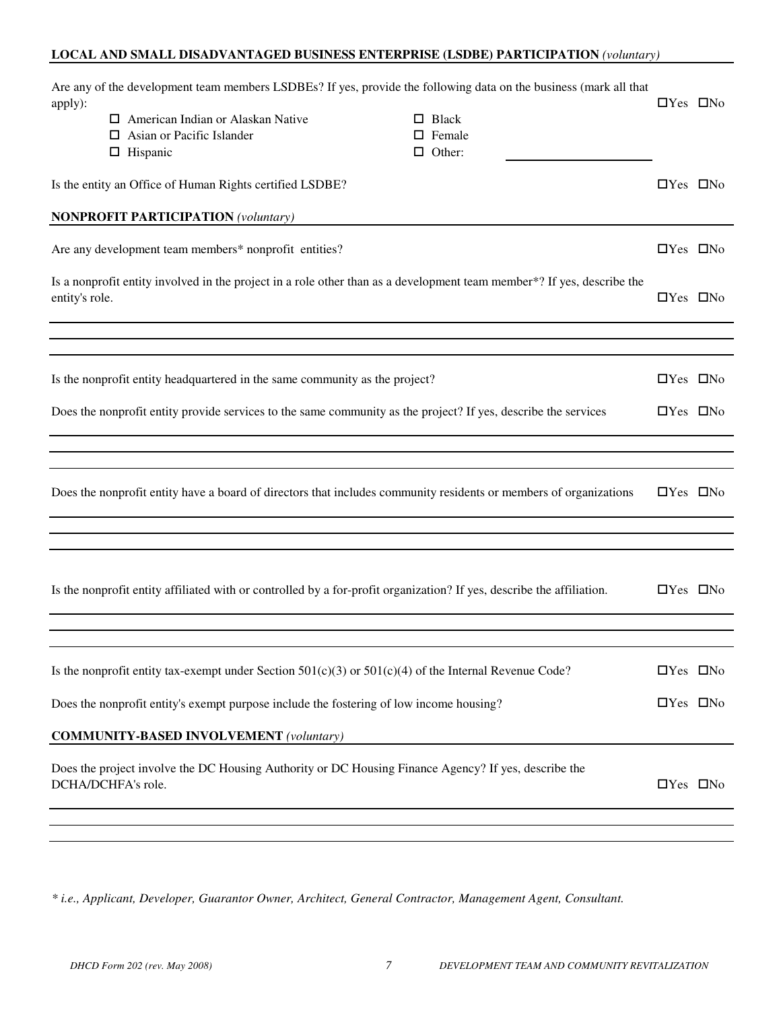# **LOCAL AND SMALL DISADVANTAGED BUSINESS ENTERPRISE (LSDBE) PARTICIPATION** *(voluntary)*

| apply):                                                                                                        | Are any of the development team members LSDBEs? If yes, provide the following data on the business (mark all that<br>$\Box$ American Indian or Alaskan Native<br>$\Box$ Asian or Pacific Islander<br>$\Box$ Hispanic | $\Box$ Black<br>$\Box$ Female<br>$\Box$ Other: | $\Box$ Yes $\Box$ No |  |  |
|----------------------------------------------------------------------------------------------------------------|----------------------------------------------------------------------------------------------------------------------------------------------------------------------------------------------------------------------|------------------------------------------------|----------------------|--|--|
|                                                                                                                | Is the entity an Office of Human Rights certified LSDBE?<br><b>NONPROFIT PARTICIPATION (voluntary)</b>                                                                                                               |                                                | $\Box$ Yes $\Box$ No |  |  |
|                                                                                                                | Are any development team members* nonprofit entities?                                                                                                                                                                |                                                | $\Box$ Yes $\Box$ No |  |  |
| entity's role.                                                                                                 | Is a nonprofit entity involved in the project in a role other than as a development team member*? If yes, describe the                                                                                               |                                                | $\Box$ Yes $\Box$ No |  |  |
|                                                                                                                |                                                                                                                                                                                                                      |                                                |                      |  |  |
|                                                                                                                | Is the nonprofit entity headquartered in the same community as the project?                                                                                                                                          |                                                | $\Box$ Yes $\Box$ No |  |  |
| Does the nonprofit entity provide services to the same community as the project? If yes, describe the services |                                                                                                                                                                                                                      |                                                |                      |  |  |
|                                                                                                                |                                                                                                                                                                                                                      |                                                |                      |  |  |
|                                                                                                                | Does the nonprofit entity have a board of directors that includes community residents or members of organizations                                                                                                    |                                                | $\Box$ Yes $\Box$ No |  |  |
|                                                                                                                |                                                                                                                                                                                                                      |                                                |                      |  |  |
|                                                                                                                | Is the nonprofit entity affiliated with or controlled by a for-profit organization? If yes, describe the affiliation.                                                                                                |                                                | $\Box$ Yes $\Box$ No |  |  |
|                                                                                                                |                                                                                                                                                                                                                      |                                                |                      |  |  |
|                                                                                                                | Is the nonprofit entity tax-exempt under Section 501(c)(3) or 501(c)(4) of the Internal Revenue Code?                                                                                                                |                                                | $\Box$ Yes $\Box$ No |  |  |
|                                                                                                                | Does the nonprofit entity's exempt purpose include the fostering of low income housing?                                                                                                                              |                                                | $\Box$ Yes $\Box$ No |  |  |
|                                                                                                                | <b>COMMUNITY-BASED INVOLVEMENT</b> (voluntary)                                                                                                                                                                       |                                                |                      |  |  |
|                                                                                                                | Does the project involve the DC Housing Authority or DC Housing Finance Agency? If yes, describe the<br>DCHA/DCHFA's role.                                                                                           |                                                | $\Box$ Yes $\Box$ No |  |  |
|                                                                                                                |                                                                                                                                                                                                                      |                                                |                      |  |  |

*\* i.e., Applicant, Developer, Guarantor Owner, Architect, General Contractor, Management Agent, Consultant.*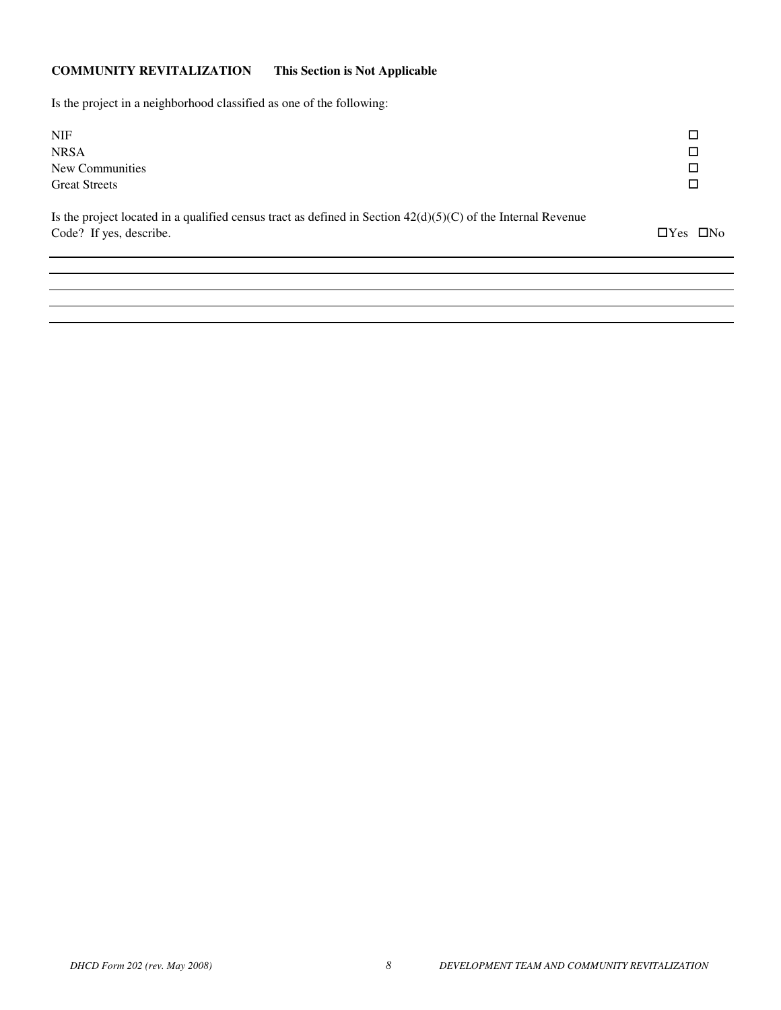# **COMMUNITY REVITALIZATION This Section is Not Applicable**

Is the project in a neighborhood classified as one of the following:

| <b>NIF</b>                                                                                                     |        |
|----------------------------------------------------------------------------------------------------------------|--------|
| <b>NRSA</b>                                                                                                    | $\Box$ |
| New Communities                                                                                                | П      |
| <b>Great Streets</b>                                                                                           |        |
| Is the project located in a qualified consus tract as defined in Section $A2(d)(5)(C)$ of the Internal Revenue |        |

| Is the project located in a qualified census tract as defined in Section $42(d)(5)(C)$ of the Internal Revenue |                      |  |
|----------------------------------------------------------------------------------------------------------------|----------------------|--|
| Code? If yes, describe.                                                                                        | $\Box$ Yes $\Box$ No |  |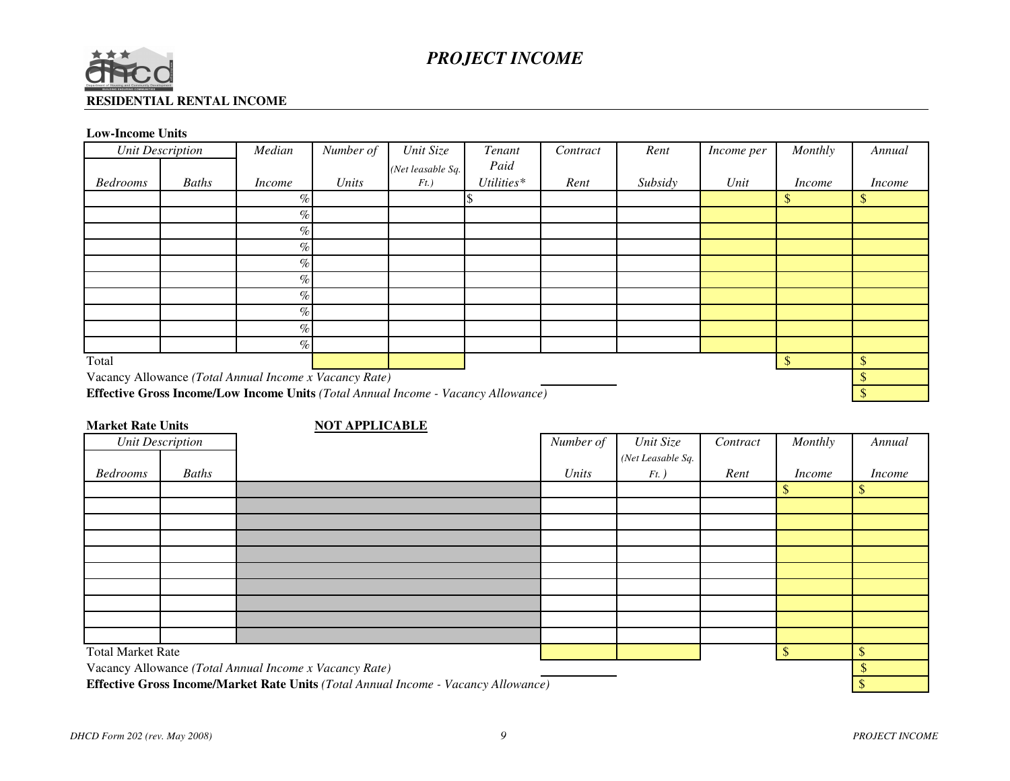

# **RESIDENTIAL RENTAL INCOME**

# **Low-Income Units**

|                 | <b>Unit Description</b>                                | Median        | Number of | Unit Size                                                                                | Tenant       | Contract | Rent    | Income per | Monthly       | Annual        |
|-----------------|--------------------------------------------------------|---------------|-----------|------------------------------------------------------------------------------------------|--------------|----------|---------|------------|---------------|---------------|
|                 |                                                        |               |           | (Net leasable Sq.)                                                                       | Paid         |          |         |            |               |               |
| <b>Bedrooms</b> | <b>Baths</b>                                           | <i>Income</i> | Units     | $Ft.$ )                                                                                  | $Utilities*$ | Rent     | Subsidy | Unit       | <i>Income</i> | <i>Income</i> |
|                 |                                                        | $\%$          |           |                                                                                          |              |          |         |            | \$            | \$            |
|                 |                                                        | $\%$          |           |                                                                                          |              |          |         |            |               |               |
|                 |                                                        | $\%$          |           |                                                                                          |              |          |         |            |               |               |
|                 |                                                        | $\%$          |           |                                                                                          |              |          |         |            |               |               |
|                 |                                                        | $\%$          |           |                                                                                          |              |          |         |            |               |               |
|                 |                                                        | $\%$          |           |                                                                                          |              |          |         |            |               |               |
|                 |                                                        | $\%$          |           |                                                                                          |              |          |         |            |               |               |
|                 |                                                        | $\%$          |           |                                                                                          |              |          |         |            |               |               |
|                 |                                                        | $\%$          |           |                                                                                          |              |          |         |            |               |               |
|                 |                                                        | $\%$          |           |                                                                                          |              |          |         |            |               |               |
| Total           |                                                        |               |           |                                                                                          |              |          |         |            | $\mathcal{S}$ | \$            |
|                 | Vacancy Allowance (Total Annual Income x Vacancy Rate) |               |           |                                                                                          |              |          |         |            |               |               |
|                 |                                                        |               |           | <b>Effective Gross Income/Low Income Units (Total Annual Income - Vacancy Allowance)</b> |              |          |         |            |               |               |

| <b>Market Rate Units</b> |       | <b>NOT APPLICABLE</b>                                                                     |           |                   |          |               |               |
|--------------------------|-------|-------------------------------------------------------------------------------------------|-----------|-------------------|----------|---------------|---------------|
| <b>Unit Description</b>  |       |                                                                                           | Number of | Unit Size         | Contract | Monthly       | Annual        |
|                          |       |                                                                                           |           | (Net Leasable Sq. |          |               |               |
| <b>Bedrooms</b>          | Baths |                                                                                           | Units     | $Ft.$ )           | Rent     | <i>Income</i> | <i>Income</i> |
|                          |       |                                                                                           |           |                   |          | \$            | \$            |
|                          |       |                                                                                           |           |                   |          |               |               |
|                          |       |                                                                                           |           |                   |          |               |               |
|                          |       |                                                                                           |           |                   |          |               |               |
|                          |       |                                                                                           |           |                   |          |               |               |
|                          |       |                                                                                           |           |                   |          |               |               |
|                          |       |                                                                                           |           |                   |          |               |               |
|                          |       |                                                                                           |           |                   |          |               |               |
|                          |       |                                                                                           |           |                   |          |               |               |
|                          |       |                                                                                           |           |                   |          |               |               |
| <b>Total Market Rate</b> |       |                                                                                           |           |                   |          | $\sqrt{\ }$   | \$            |
|                          |       | Vacancy Allowance (Total Annual Income x Vacancy Rate)                                    |           |                   |          |               | \$            |
|                          |       | <b>Effective Gross Income/Market Rate Units (Total Annual Income - Vacancy Allowance)</b> |           |                   |          |               |               |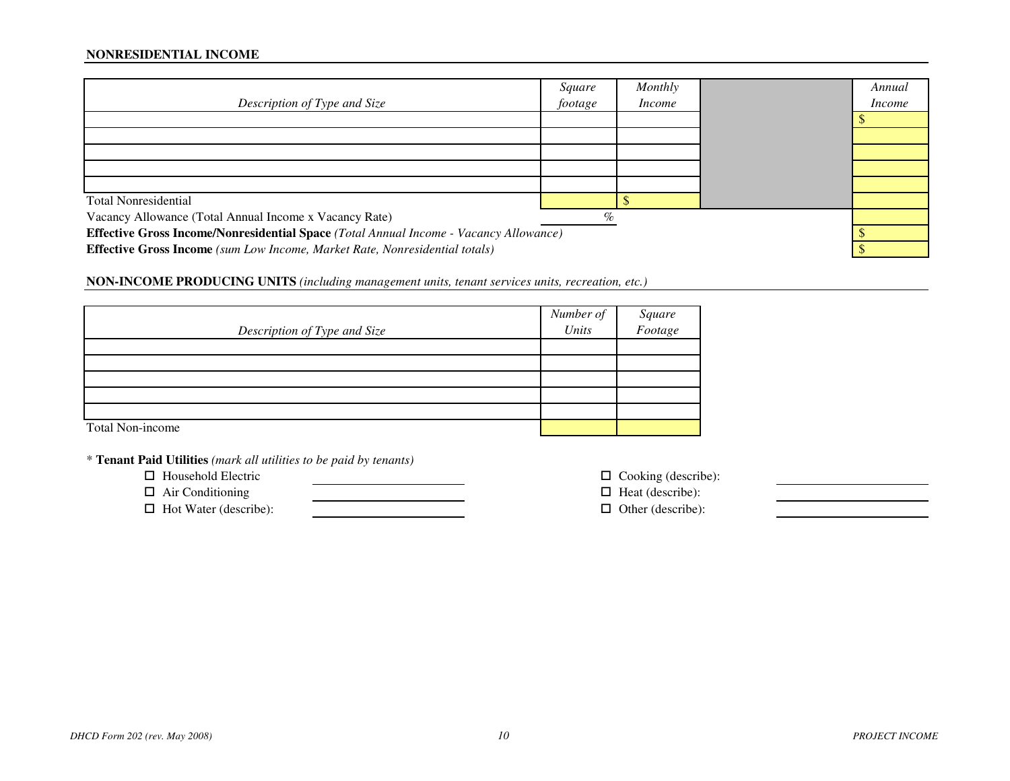### **NONRESIDENTIAL INCOME**

| Description of Type and Size                                                                 | Square<br>footage | Monthly<br>Income |  | Annual<br>Income |  |  |
|----------------------------------------------------------------------------------------------|-------------------|-------------------|--|------------------|--|--|
|                                                                                              |                   |                   |  |                  |  |  |
|                                                                                              |                   |                   |  |                  |  |  |
|                                                                                              |                   |                   |  |                  |  |  |
|                                                                                              |                   |                   |  |                  |  |  |
|                                                                                              |                   |                   |  |                  |  |  |
| <b>Total Nonresidential</b>                                                                  |                   |                   |  |                  |  |  |
| Vacancy Allowance (Total Annual Income x Vacancy Rate)                                       | $\%$              |                   |  |                  |  |  |
| <b>Effective Gross Income/Nonresidential Space (Total Annual Income - Vacancy Allowance)</b> |                   |                   |  |                  |  |  |
| <b>Effective Gross Income</b> (sum Low Income, Market Rate, Nonresidential totals)           |                   |                   |  |                  |  |  |

**NON-INCOME PRODUCING UNITS** *(including management units, tenant services units, recreation, etc.)*

| Description of Type and Size | Number of<br>Units | Square<br>Footage |
|------------------------------|--------------------|-------------------|
|                              |                    |                   |
|                              |                    |                   |
|                              |                    |                   |
|                              |                    |                   |
|                              |                    |                   |
| Total Non-income             |                    |                   |

\* **Tenant Paid Utilities** *(mark all utilities to be paid by tenants)*

- $\Box$  Household Electric
- $\Box$  Air Conditioning  $\Box$  Heat (describe):  $\Box$  Hot Water (describe):  $\Box$  Other (describe):

 $\Box$  Cooking (describe):<br> $\Box$  Heat (describe):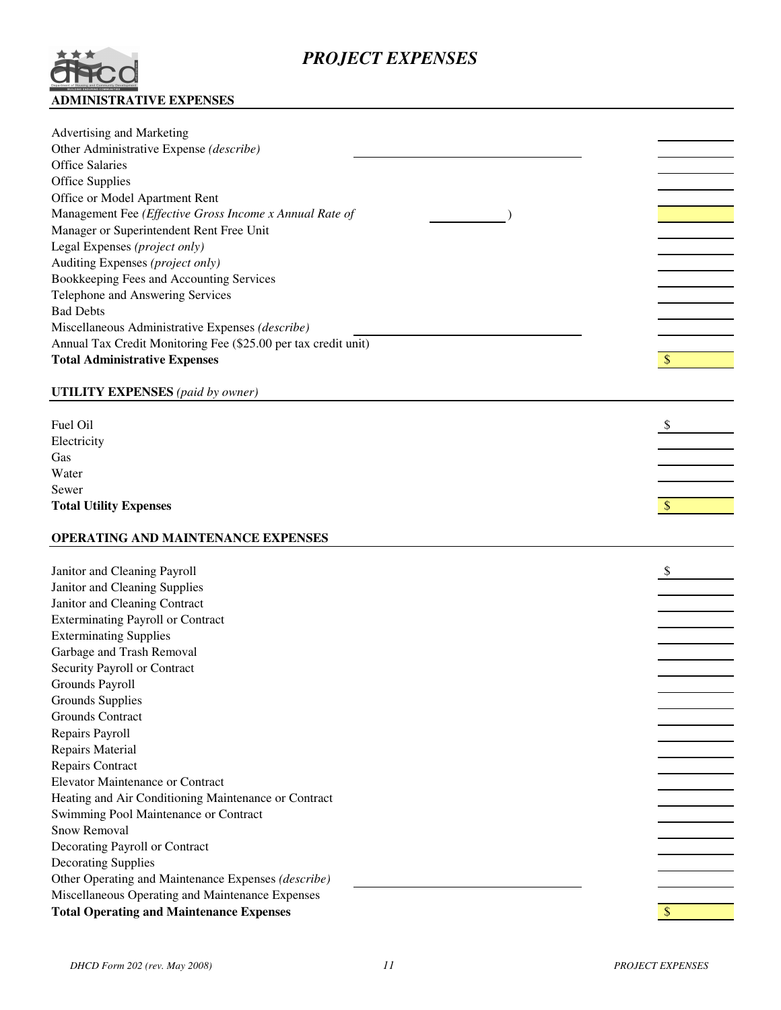# *PROJECT EXPENSES*



| Advertising and Marketing                                                                           |               |
|-----------------------------------------------------------------------------------------------------|---------------|
| Other Administrative Expense (describe)                                                             |               |
| <b>Office Salaries</b>                                                                              |               |
| Office Supplies                                                                                     |               |
| Office or Model Apartment Rent                                                                      |               |
| Management Fee (Effective Gross Income x Annual Rate of                                             |               |
| Manager or Superintendent Rent Free Unit                                                            |               |
| Legal Expenses (project only)                                                                       |               |
| Auditing Expenses (project only)                                                                    |               |
| Bookkeeping Fees and Accounting Services                                                            |               |
| Telephone and Answering Services                                                                    |               |
| <b>Bad Debts</b>                                                                                    |               |
| Miscellaneous Administrative Expenses (describe)                                                    |               |
| Annual Tax Credit Monitoring Fee (\$25.00 per tax credit unit)                                      |               |
| <b>Total Administrative Expenses</b>                                                                | $\mathcal{S}$ |
|                                                                                                     |               |
| <b>UTILITY EXPENSES</b> (paid by owner)                                                             |               |
| Fuel Oil                                                                                            |               |
|                                                                                                     |               |
| Electricity                                                                                         |               |
| Gas                                                                                                 |               |
| Water                                                                                               |               |
| Sewer                                                                                               |               |
| <b>Total Utility Expenses</b>                                                                       | $\sqrt[6]{3}$ |
|                                                                                                     |               |
|                                                                                                     |               |
| OPERATING AND MAINTENANCE EXPENSES                                                                  |               |
|                                                                                                     | \$            |
| Janitor and Cleaning Payroll                                                                        |               |
| Janitor and Cleaning Supplies                                                                       |               |
| Janitor and Cleaning Contract                                                                       |               |
| <b>Exterminating Payroll or Contract</b>                                                            |               |
| <b>Exterminating Supplies</b>                                                                       |               |
| Garbage and Trash Removal                                                                           |               |
| Security Payroll or Contract                                                                        |               |
| Grounds Payroll                                                                                     |               |
| Grounds Supplies                                                                                    |               |
| Grounds Contract                                                                                    |               |
| Repairs Payroll                                                                                     |               |
| Repairs Material                                                                                    |               |
| Repairs Contract                                                                                    |               |
| <b>Elevator Maintenance or Contract</b>                                                             |               |
| Heating and Air Conditioning Maintenance or Contract                                                |               |
| Swimming Pool Maintenance or Contract                                                               |               |
| Snow Removal                                                                                        |               |
| Decorating Payroll or Contract                                                                      |               |
| <b>Decorating Supplies</b>                                                                          |               |
| Other Operating and Maintenance Expenses (describe)                                                 |               |
| Miscellaneous Operating and Maintenance Expenses<br><b>Total Operating and Maintenance Expenses</b> | $\sqrt{\ }$   |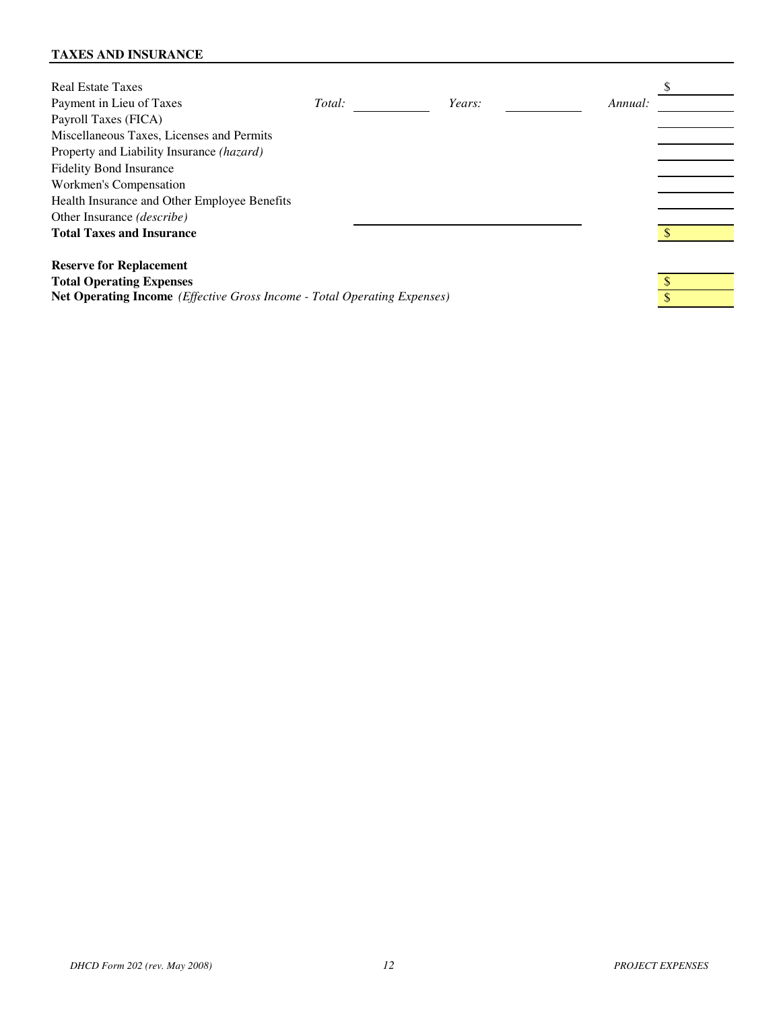# **TAXES AND INSURANCE**

| <b>Real Estate Taxes</b>                                                                 |        |        |         |  |
|------------------------------------------------------------------------------------------|--------|--------|---------|--|
| Payment in Lieu of Taxes                                                                 | Total: | Years: | Annual: |  |
| Payroll Taxes (FICA)                                                                     |        |        |         |  |
| Miscellaneous Taxes, Licenses and Permits                                                |        |        |         |  |
| Property and Liability Insurance <i>(hazard)</i>                                         |        |        |         |  |
| <b>Fidelity Bond Insurance</b>                                                           |        |        |         |  |
| Workmen's Compensation                                                                   |        |        |         |  |
| Health Insurance and Other Employee Benefits                                             |        |        |         |  |
| Other Insurance <i>(describe)</i>                                                        |        |        |         |  |
| <b>Total Taxes and Insurance</b>                                                         |        |        |         |  |
|                                                                                          |        |        |         |  |
| <b>Reserve for Replacement</b>                                                           |        |        |         |  |
| <b>Total Operating Expenses</b>                                                          |        |        |         |  |
| <b>Net Operating Income</b> ( <i>Effective Gross Income - Total Operating Expenses</i> ) |        |        |         |  |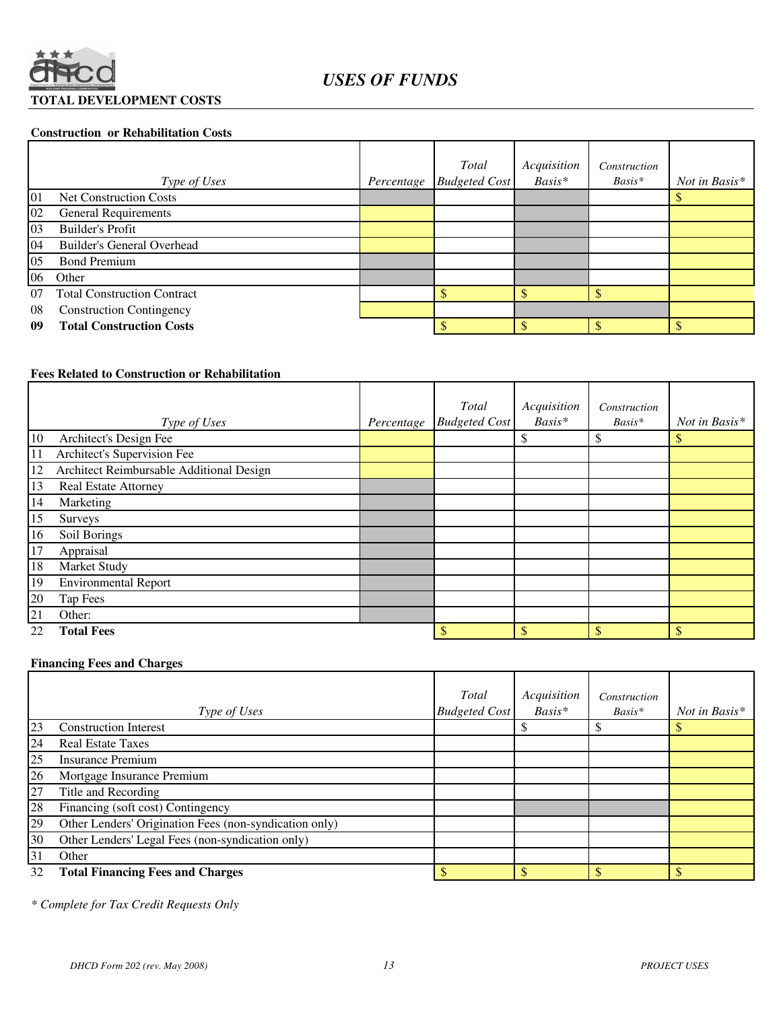

#### **Construction or Rehabilitation Costs**

|    |                                    |            | Total                | Acquisition | Construction |               |
|----|------------------------------------|------------|----------------------|-------------|--------------|---------------|
|    | Type of Uses                       | Percentage | <b>Budgeted Cost</b> | Basis*      | $Basis*$     | Not in Basis* |
| 01 | <b>Net Construction Costs</b>      |            |                      |             |              |               |
| 02 | <b>General Requirements</b>        |            |                      |             |              |               |
| 03 | <b>Builder's Profit</b>            |            |                      |             |              |               |
| 04 | Builder's General Overhead         |            |                      |             |              |               |
| 05 | <b>Bond Premium</b>                |            |                      |             |              |               |
| 06 | Other                              |            |                      |             |              |               |
| 07 | <b>Total Construction Contract</b> |            |                      |             |              |               |
| 08 | <b>Construction Contingency</b>    |            |                      |             |              |               |
| 09 | <b>Total Construction Costs</b>    |            |                      |             |              |               |

# **Fees Related to Construction or Rehabilitation**

|                 |                                          |            | Total                | Acquisition | Construction |               |
|-----------------|------------------------------------------|------------|----------------------|-------------|--------------|---------------|
|                 | Type of Uses                             | Percentage | <b>Budgeted Cost</b> | Basis*      | Basis*       | Not in Basis* |
| 10              | Architect's Design Fee                   |            |                      | \$          | ъD           | \$            |
| 11              | Architect's Supervision Fee              |            |                      |             |              |               |
| 12              | Architect Reimbursable Additional Design |            |                      |             |              |               |
| 13              | Real Estate Attorney                     |            |                      |             |              |               |
| 14              | Marketing                                |            |                      |             |              |               |
| 15              | Surveys                                  |            |                      |             |              |               |
| 16              | Soil Borings                             |            |                      |             |              |               |
| 17              | Appraisal                                |            |                      |             |              |               |
| 18              | Market Study                             |            |                      |             |              |               |
| 19              | <b>Environmental Report</b>              |            |                      |             |              |               |
| 20              | Tap Fees                                 |            |                      |             |              |               |
| $\overline{21}$ | Other:                                   |            |                      |             |              |               |
| 22              | <b>Total Fees</b>                        |            | \$                   | \$          | \$           | $\mathbb{S}$  |

# **Financing Fees and Charges**

|                 | Type of Uses                                           | Total<br><b>Budgeted Cost</b> | Acquisition<br>$Basis*$ | Construction<br>$Basis*$ | Not in Basis* |
|-----------------|--------------------------------------------------------|-------------------------------|-------------------------|--------------------------|---------------|
| 23              | <b>Construction Interest</b>                           |                               |                         |                          |               |
| 24              | <b>Real Estate Taxes</b>                               |                               |                         |                          |               |
| 25              | <b>Insurance Premium</b>                               |                               |                         |                          |               |
| $\frac{26}{27}$ | Mortgage Insurance Premium                             |                               |                         |                          |               |
|                 | Title and Recording                                    |                               |                         |                          |               |
| 28              | Financing (soft cost) Contingency                      |                               |                         |                          |               |
| 29              | Other Lenders' Origination Fees (non-syndication only) |                               |                         |                          |               |
| 30              | Other Lenders' Legal Fees (non-syndication only)       |                               |                         |                          |               |
| 31              | Other                                                  |                               |                         |                          |               |
| 32              | <b>Total Financing Fees and Charges</b>                |                               |                         |                          |               |

*\* Complete for Tax Credit Requests Only*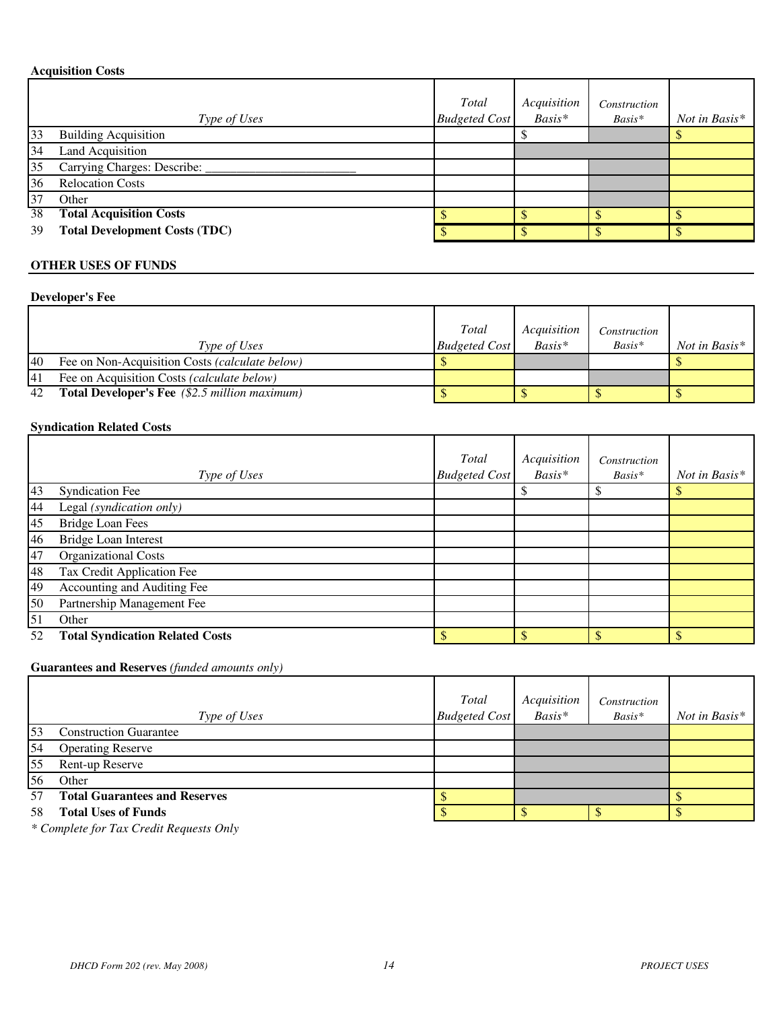# **Acquisition Costs**

|    | Type of Uses                         | Total<br><b>Budgeted Cost</b> | Acquisition<br>Basis* | Construction<br>Basis* | Not in Basis* |
|----|--------------------------------------|-------------------------------|-----------------------|------------------------|---------------|
| 33 | <b>Building Acquisition</b>          |                               |                       |                        |               |
| 34 | <b>Land Acquisition</b>              |                               |                       |                        |               |
| 35 | Carrying Charges: Describe:          |                               |                       |                        |               |
| 36 | <b>Relocation Costs</b>              |                               |                       |                        |               |
| 37 | Other                                |                               |                       |                        |               |
| 38 | <b>Total Acquisition Costs</b>       |                               |                       |                        |               |
| 39 | <b>Total Development Costs (TDC)</b> |                               |                       |                        |               |

# **OTHER USES OF FUNDS**

# **Developer's Fee**

|           |                                                      | Total                | Acquisition | Construction |               |
|-----------|------------------------------------------------------|----------------------|-------------|--------------|---------------|
|           | Type of Uses                                         | <b>Budgeted Cost</b> | $Basis*$    | $Basis*$     | Not in Basis* |
| 40        | Fee on Non-Acquisition Costs (calculate below)       |                      |             |              |               |
| <b>41</b> | Fee on Acquisition Costs (calculate below)           |                      |             |              |               |
| 42        | <b>Total Developer's Fee</b> (\$2.5 million maximum) |                      |             |              |               |

### **Syndication Related Costs**

|    | Type of Uses                           | Total<br><b>Budgeted Cost</b> | Acquisition<br>Basis* | Construction<br>$Basis*$ | Not in Basis* |
|----|----------------------------------------|-------------------------------|-----------------------|--------------------------|---------------|
| 43 | <b>Syndication Fee</b>                 |                               |                       |                          |               |
| 44 | Legal (syndication only)               |                               |                       |                          |               |
| 45 | <b>Bridge Loan Fees</b>                |                               |                       |                          |               |
| 46 | <b>Bridge Loan Interest</b>            |                               |                       |                          |               |
| 47 | <b>Organizational Costs</b>            |                               |                       |                          |               |
| 48 | Tax Credit Application Fee             |                               |                       |                          |               |
| 49 | Accounting and Auditing Fee            |                               |                       |                          |               |
| 50 | Partnership Management Fee             |                               |                       |                          |               |
| 51 | Other                                  |                               |                       |                          |               |
| 52 | <b>Total Syndication Related Costs</b> |                               |                       |                          |               |

# **Guarantees and Reserves** *(funded amounts only)*

|    | Type of Uses                         | <b>Total</b><br><b>Budgeted Cost</b> | Acquisition<br>Basis* | Construction<br>$Basis*$ | Not in Basis* |
|----|--------------------------------------|--------------------------------------|-----------------------|--------------------------|---------------|
| 53 | <b>Construction Guarantee</b>        |                                      |                       |                          |               |
| 54 | <b>Operating Reserve</b>             |                                      |                       |                          |               |
| 55 | Rent-up Reserve                      |                                      |                       |                          |               |
| 56 | Other                                |                                      |                       |                          |               |
| 57 | <b>Total Guarantees and Reserves</b> |                                      |                       |                          |               |
| 58 | <b>Total Uses of Funds</b>           |                                      |                       |                          |               |

*\* Complete for Tax Credit Requests Only*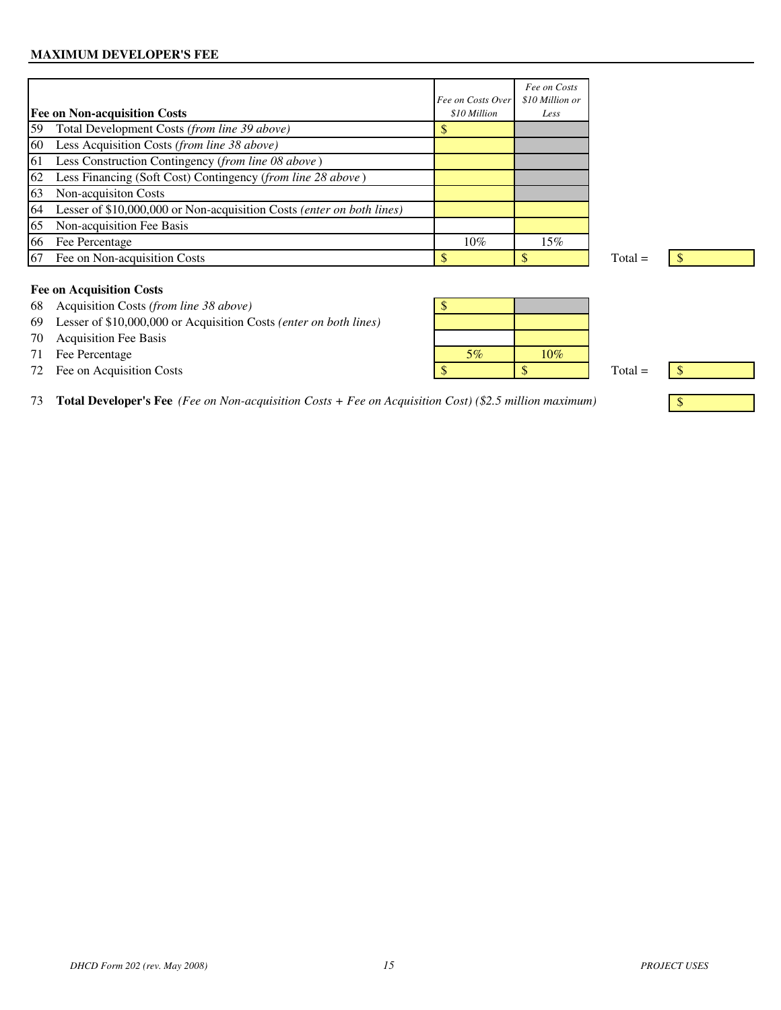# **MAXIMUM DEVELOPER'S FEE**

| <b>Fee on Non-acquisition Costs</b>                                         | Fee on Costs Over<br>\$10 Million | Fee on Costs<br>\$10 Million or<br>Less |
|-----------------------------------------------------------------------------|-----------------------------------|-----------------------------------------|
| 59<br>Total Development Costs (from line 39 above)                          |                                   |                                         |
| Less Acquisition Costs (from line 38 above)<br>60                           |                                   |                                         |
| Less Construction Contingency (from line 08 above)<br>61                    |                                   |                                         |
| 62<br>Less Financing (Soft Cost) Contingency (from line 28 above)           |                                   |                                         |
| 63<br>Non-acquisiton Costs                                                  |                                   |                                         |
| 64<br>Lesser of \$10,000,000 or Non-acquisition Costs (enter on both lines) |                                   |                                         |
| Non-acquisition Fee Basis<br>65                                             |                                   |                                         |
| 66<br>Fee Percentage                                                        | 10%                               | 15%                                     |
| 67<br>Fee on Non-acquisition Costs                                          |                                   |                                         |

# **Fee on Acquisition Costs**

- 68 Acquisition Costs *(from line 38 above)* \$
- 69 Lesser of \$10,000,000 or Acquisition Costs *(enter on both lines)*
- 70 Acquisition Fee Basis
- 71 Fee Percentage
- 

|    | 68 Acquisition Costs (from line 38 above)                            |    |     |           |               |
|----|----------------------------------------------------------------------|----|-----|-----------|---------------|
|    | 69 Lesser of \$10,000,000 or Acquisition Costs (enter on both lines) |    |     |           |               |
|    | 70 Acquisition Fee Basis                                             |    |     |           |               |
| 71 | Fee Percentage                                                       | 5% | 10% |           |               |
|    | 72 Fee on Acquisition Costs                                          |    |     | $Total =$ | $\mathcal{S}$ |
|    |                                                                      |    |     |           |               |

73 **Total Developer's Fee** *(Fee on Non-acquisition Costs + Fee on Acquisition Cost) (\$2.5 million maximum)* \$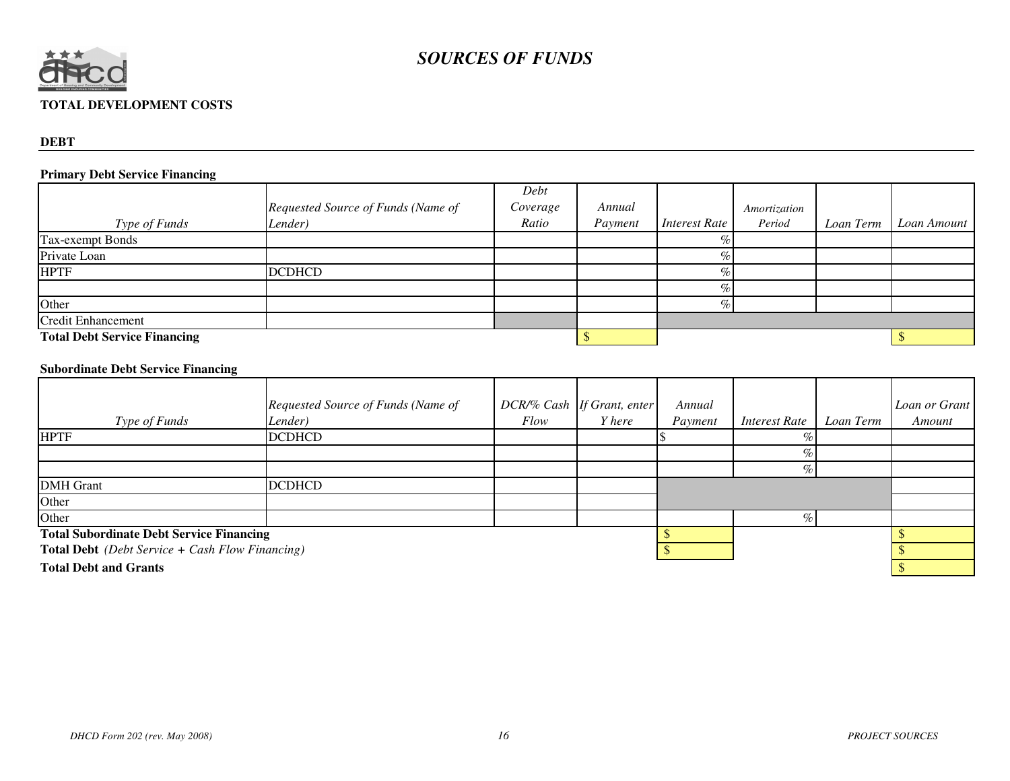

# **TOTAL DEVELOPMENT COSTS**

#### **DEBT**

# **Primary Debt Service Financing**

|                                     |                                    | Debt     |         |                      |              |           |             |
|-------------------------------------|------------------------------------|----------|---------|----------------------|--------------|-----------|-------------|
|                                     | Requested Source of Funds (Name of | Coverage | Annual  |                      | Amortization |           |             |
| Type of Funds                       | Lender)                            | Ratio    | Payment | <i>Interest Rate</i> | Period       | Loan Term | Loan Amount |
| <b>Tax-exempt Bonds</b>             |                                    |          |         | O <sub>n</sub>       |              |           |             |
| Private Loan                        |                                    |          |         |                      |              |           |             |
| <b>HPTF</b>                         | <b>DCDHCD</b>                      |          |         |                      |              |           |             |
|                                     |                                    |          |         |                      |              |           |             |
| Other                               |                                    |          |         |                      |              |           |             |
| <b>Credit Enhancement</b>           |                                    |          |         |                      |              |           |             |
| <b>Total Debt Service Financing</b> |                                    |          |         |                      |              |           |             |

# **Subordinate Debt Service Financing**

|                                                                        | Requested Source of Funds (Name of |      | DCR/% Cash If Grant, enter | Annual  |                      |           | Loan or Grant |
|------------------------------------------------------------------------|------------------------------------|------|----------------------------|---------|----------------------|-----------|---------------|
| Type of Funds                                                          | Lender)                            | Flow | <i>Y</i> here              | Payment | <i>Interest Rate</i> | Loan Term | Amount        |
| <b>HPTF</b>                                                            | <b>DCDHCD</b>                      |      |                            |         |                      |           |               |
|                                                                        |                                    |      |                            |         |                      |           |               |
|                                                                        |                                    |      |                            |         |                      |           |               |
| <b>DMH</b> Grant                                                       | <b>DCDHCD</b>                      |      |                            |         |                      |           |               |
| Other                                                                  |                                    |      |                            |         |                      |           |               |
| Other                                                                  |                                    |      |                            |         |                      |           |               |
| <b>Total Subordinate Debt Service Financing</b>                        |                                    |      |                            |         |                      |           |               |
| <b>Total Debt</b> ( <i>Debt Service</i> + <i>Cash Flow Financing</i> ) |                                    |      |                            |         |                      |           |               |
| <b>Total Debt and Grants</b>                                           |                                    |      |                            |         |                      |           |               |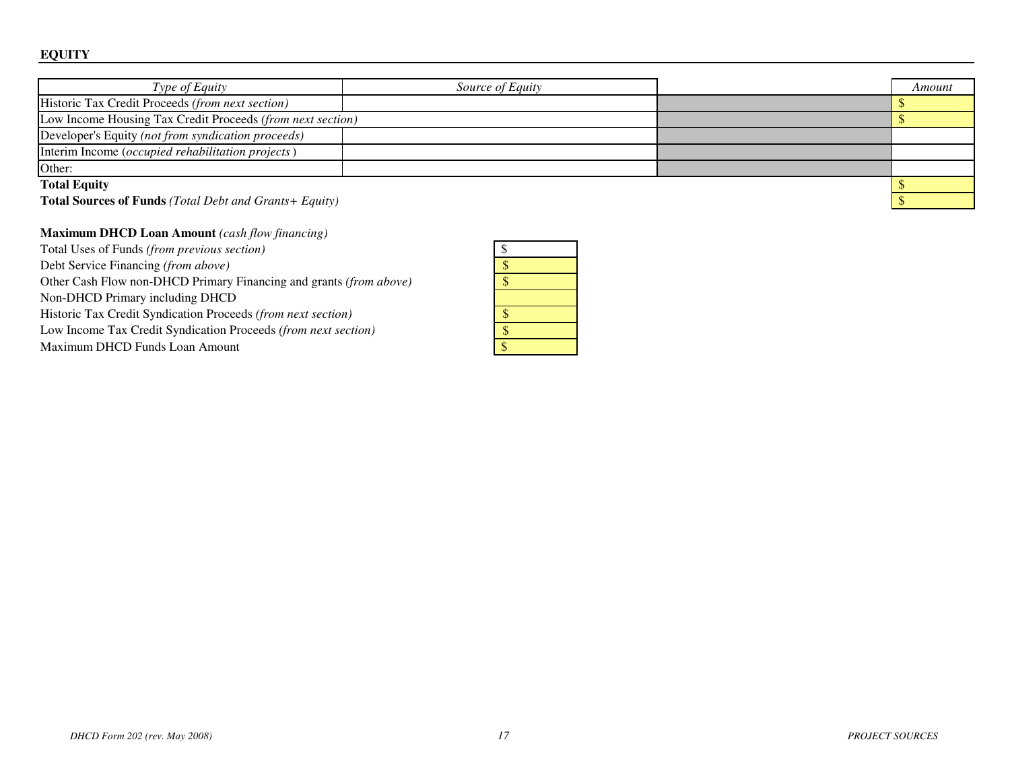| Type of Equity                                                | Source of Equity |  | Amount |  |
|---------------------------------------------------------------|------------------|--|--------|--|
| Historic Tax Credit Proceeds (from next section)              |                  |  |        |  |
| Low Income Housing Tax Credit Proceeds (from next section)    |                  |  |        |  |
| Developer's Equity (not from syndication proceeds)            |                  |  |        |  |
| Interim Income ( <i>occupied rehabilitation projects</i> )    |                  |  |        |  |
| Other:                                                        |                  |  |        |  |
| <b>Total Equity</b>                                           |                  |  |        |  |
| <b>Total Sources of Funds</b> (Total Debt and Grants+ Equity) |                  |  |        |  |

## **Maximum DHCD Loan Amount** *(cash flow financing)*

Total Uses of Funds *(from previous section)*

Debt Service Financing *(from above)*

Other Cash Flow non-DHCD Primary Financing and grants *(from above)*

Non-DHCD Primary including DHCD

Historic Tax Credit Syndication Proceeds *(from next section)*

Low Income Tax Credit Syndication Proceeds *(from next section)*

Maximum DHCD Funds Loan Amount

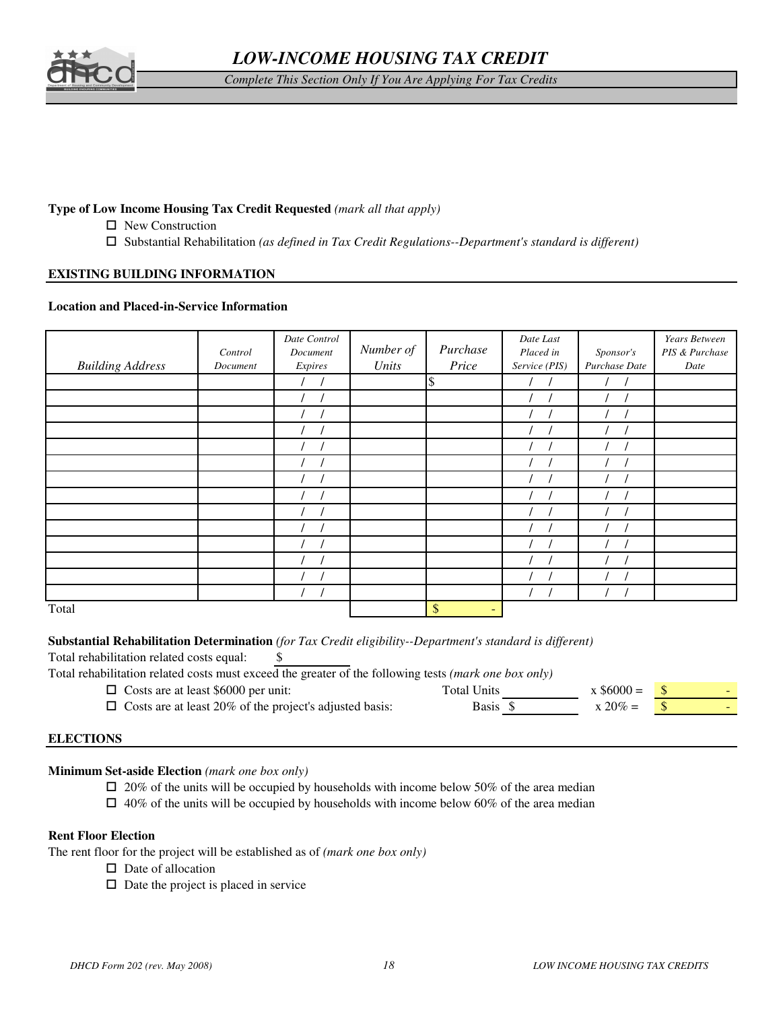

*Complete This Section Only If You Are Applying For Tax Credits*

# **Type of Low Income Housing Tax Credit Requested** *(mark all that apply)*

- □ New Construction
- Substantial Rehabilitation *(as defined in Tax Credit Regulations--Department's standard is different)*

### **EXISTING BUILDING INFORMATION**

#### **Location and Placed-in-Service Information**

| <b>Building Address</b> | Control<br>Document | Date Control<br>Document<br>Expires | Number of<br>Units | Purchase<br>Price | Date Last<br>Placed in<br>Service (PIS) | Sponsor's<br>Purchase Date | Years Between<br>PIS & Purchase<br>Date |
|-------------------------|---------------------|-------------------------------------|--------------------|-------------------|-----------------------------------------|----------------------------|-----------------------------------------|
|                         |                     |                                     |                    | \$                |                                         |                            |                                         |
|                         |                     |                                     |                    |                   |                                         |                            |                                         |
|                         |                     |                                     |                    |                   |                                         |                            |                                         |
|                         |                     |                                     |                    |                   |                                         |                            |                                         |
|                         |                     |                                     |                    |                   |                                         |                            |                                         |
|                         |                     |                                     |                    |                   |                                         |                            |                                         |
|                         |                     |                                     |                    |                   |                                         |                            |                                         |
|                         |                     |                                     |                    |                   |                                         |                            |                                         |
|                         |                     |                                     |                    |                   |                                         |                            |                                         |
|                         |                     |                                     |                    |                   |                                         |                            |                                         |
|                         |                     |                                     |                    |                   |                                         |                            |                                         |
|                         |                     |                                     |                    |                   |                                         |                            |                                         |
|                         |                     |                                     |                    |                   |                                         |                            |                                         |
|                         |                     |                                     |                    |                   |                                         |                            |                                         |
| Total                   |                     |                                     |                    | \$<br>$\sim$      |                                         |                            |                                         |

#### **Substantial Rehabilitation Determination** *(for Tax Credit eligibility--Department's standard is different)*

Total rehabilitation related costs equal: \$

Total rehabilitation related costs must exceed the greater of the following tests *(mark one box only)*

| $\Box$ Costs are at least \$6000 per unit:                     | Total Units | $\bar{x}$ \$6000 = |  |
|----------------------------------------------------------------|-------------|--------------------|--|
| $\Box$ Costs are at least 20% of the project's adjusted basis: | Basis \$    | $x 20\% =$         |  |

### **ELECTIONS**

**Minimum Set-aside Election** *(mark one box only)*

 $\Box$  20% of the units will be occupied by households with income below 50% of the area median

 $\Box$  40% of the units will be occupied by households with income below 60% of the area median

#### **Rent Floor Election**

The rent floor for the project will be established as of *(mark one box only)*

- $\square$  Date of allocation
- $\Box$  Date the project is placed in service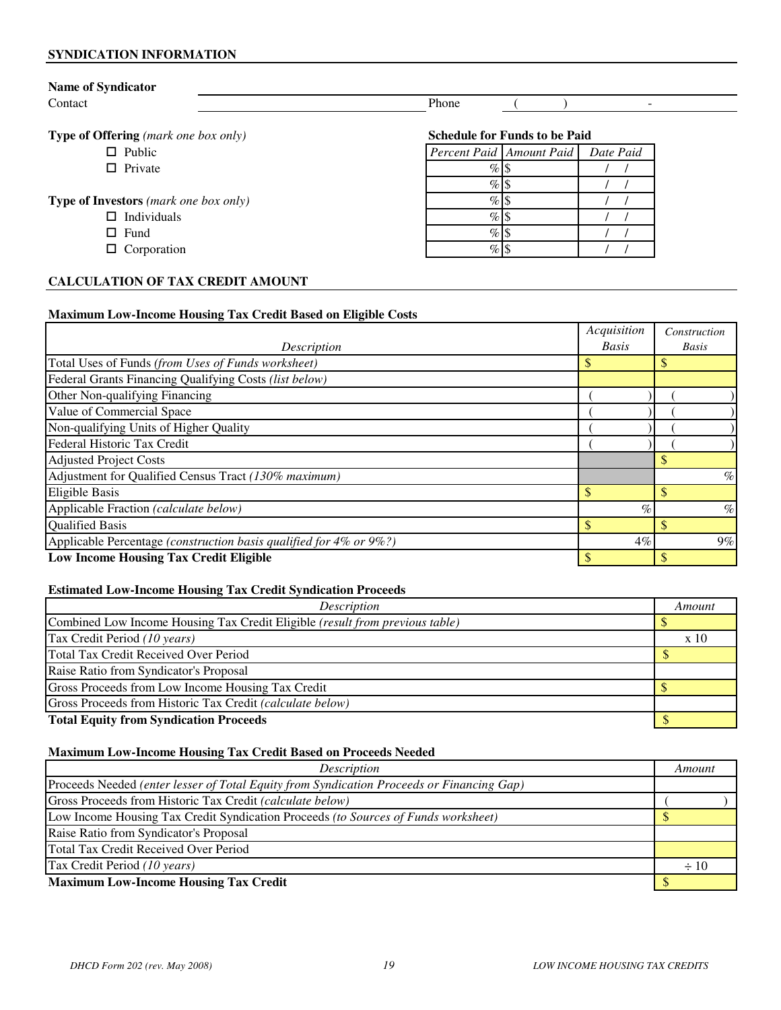#### **SYNDICATION INFORMATION**

| <b>Name of Syndicator</b>                    |                                       |
|----------------------------------------------|---------------------------------------|
| Contact                                      | Phone<br>$\overline{\phantom{0}}$     |
|                                              |                                       |
| <b>Type of Offering</b> (mark one box only)  | <b>Schedule for Funds to be Paid</b>  |
| $\Box$ Public                                | Percent Paid Amount Paid<br>Date Paid |
| $\Box$ Private                               | %                                     |
|                                              |                                       |
| <b>Type of Investors</b> (mark one box only) | $\%$                                  |
| $\Box$ Individuals                           | $\%$                                  |
| $\Box$ Fund                                  | $\%$                                  |
| $\Box$ Corporation                           | %                                     |

# **CALCULATION OF TAX CREDIT AMOUNT**

#### **Maximum Low-Income Housing Tax Credit Based on Eligible Costs**

|                                                                    | Acquisition  | Construction |
|--------------------------------------------------------------------|--------------|--------------|
| Description                                                        | <b>Basis</b> | <b>Basis</b> |
| Total Uses of Funds (from Uses of Funds worksheet)                 |              |              |
| Federal Grants Financing Qualifying Costs (list below)             |              |              |
| Other Non-qualifying Financing                                     |              |              |
| Value of Commercial Space                                          |              |              |
| Non-qualifying Units of Higher Quality                             |              |              |
| Federal Historic Tax Credit                                        |              |              |
| <b>Adjusted Project Costs</b>                                      |              |              |
| Adjustment for Qualified Census Tract (130% maximum)               |              | $\%$         |
| <b>Eligible Basis</b>                                              | \$           | \$           |
| Applicable Fraction (calculate below)                              | $\%$         | $\%$         |
| <b>Qualified Basis</b>                                             |              |              |
| Applicable Percentage (construction basis qualified for 4% or 9%?) | $4\%$        | $9\%$        |
| <b>Low Income Housing Tax Credit Eligible</b>                      |              |              |

# **Estimated Low-Income Housing Tax Credit Syndication Proceeds**

| Description                                                                  | Amount |
|------------------------------------------------------------------------------|--------|
| Combined Low Income Housing Tax Credit Eligible (result from previous table) |        |
| Tax Credit Period (10 years)                                                 | x 10   |
| Total Tax Credit Received Over Period                                        |        |
| Raise Ratio from Syndicator's Proposal                                       |        |
| Gross Proceeds from Low Income Housing Tax Credit                            |        |
| Gross Proceeds from Historic Tax Credit (calculate below)                    |        |
| <b>Total Equity from Syndication Proceeds</b>                                |        |

# **Maximum Low-Income Housing Tax Credit Based on Proceeds Needed**

| <b>Description</b>                                                                         | Amount    |
|--------------------------------------------------------------------------------------------|-----------|
| [Proceeds Needed (enter lesser of Total Equity from Syndication Proceeds or Financing Gap) |           |
| Gross Proceeds from Historic Tax Credit (calculate below)                                  |           |
| Low Income Housing Tax Credit Syndication Proceeds (to Sources of Funds worksheet)         |           |
| Raise Ratio from Syndicator's Proposal                                                     |           |
| Total Tax Credit Received Over Period                                                      |           |
| Tax Credit Period (10 years)                                                               | $\div 10$ |
| <b>Maximum Low-Income Housing Tax Credit</b>                                               |           |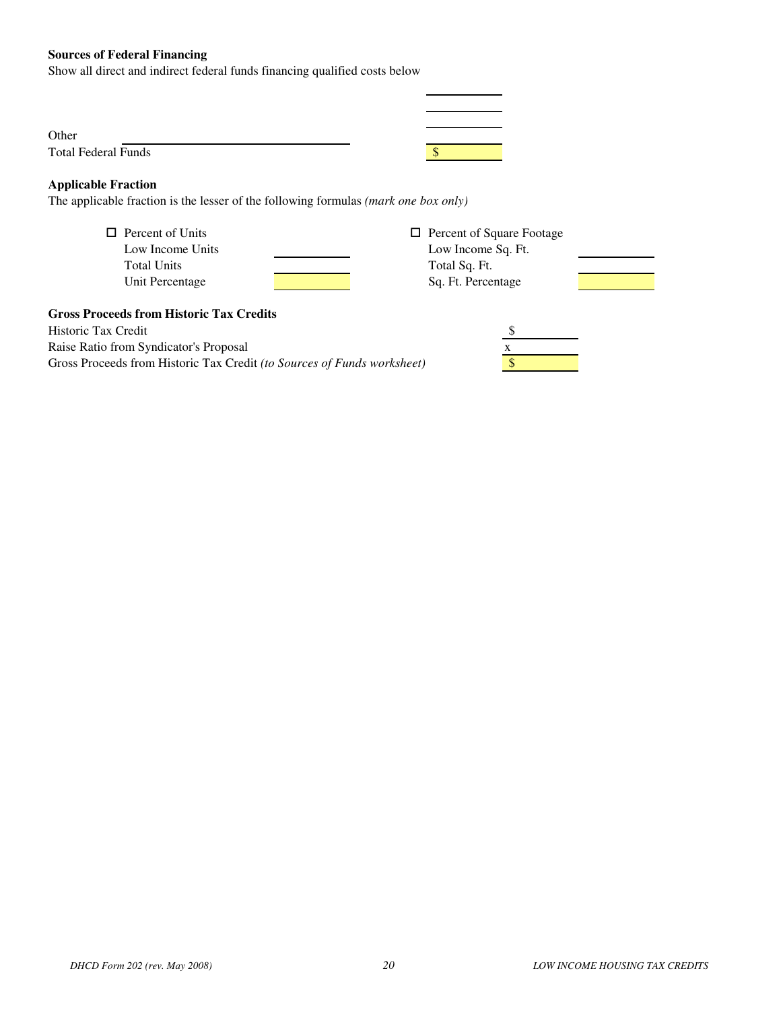### **Sources of Federal Financing**

Show all direct and indirect federal funds financing qualified costs below

| Other                      |  |
|----------------------------|--|
| <b>Total Federal Funds</b> |  |

### **Applicable Fraction**

The applicable fraction is the lesser of the following formulas *(mark one box only)*

| $\Box$ Percent of Units | $\Box$ Percent of Square Footage |  |
|-------------------------|----------------------------------|--|
| Low Income Units        | Low Income Sq. Ft.               |  |
| <b>Total Units</b>      | Total Sq. Ft.                    |  |
| Unit Percentage         | Sq. Ft. Percentage               |  |
|                         |                                  |  |

| <b>Percent of Square Footage</b> |  |
|----------------------------------|--|
| Low Income Sq. Ft.               |  |
| Total Sq. Ft.                    |  |
| Sq. Ft. Percentage               |  |

#### **Gross Proceeds from Historic Tax Credits**

Historic Tax Credit \$ Raise Ratio from Syndicator's Proposal x Gross Proceeds from Historic Tax Credit *(to Sources of Funds worksheet)* \$

| S |  |
|---|--|
| X |  |
|   |  |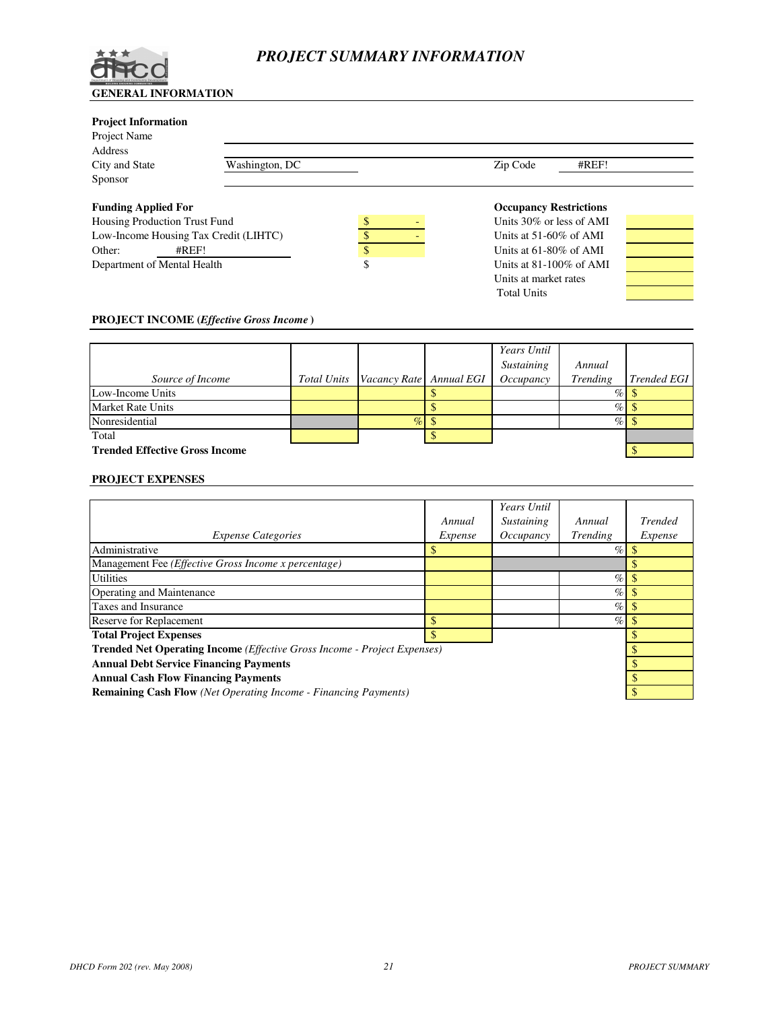

# *PROJECT SUMMARY INFORMATION*

#### **Project Information**

| 110 juli 1111 011114 11011            |                |                                  |       |  |
|---------------------------------------|----------------|----------------------------------|-------|--|
| Project Name                          |                |                                  |       |  |
| Address                               |                |                                  |       |  |
| City and State                        | Washington, DC | Zip Code                         | #REF! |  |
| Sponsor                               |                |                                  |       |  |
| <b>Funding Applied For</b>            |                | <b>Occupancy Restrictions</b>    |       |  |
| Housing Production Trust Fund         |                | \$<br>Units 30% or less of AMI   |       |  |
| Low-Income Housing Tax Credit (LIHTC) |                | Units at $51-60\%$ of AMI        |       |  |
| Other:                                | #REF!          | \$<br>Units at $61-80\%$ of AMI  |       |  |
| Department of Mental Health           |                | \$<br>Units at $81-100\%$ of AMI |       |  |
|                                       |                | Units at market rates            |       |  |

Total Units

#### **PROJECT INCOME (***Effective Gross Income* **)**

|                                       |                                     | Years Until |          |                    |
|---------------------------------------|-------------------------------------|-------------|----------|--------------------|
|                                       |                                     | Sustaining  | Annual   |                    |
| Source of Income                      | Total Units Vacancy Rate Annual EGI | Occupancy   | Trending | <b>Trended EGI</b> |
| Low-Income Units                      |                                     |             | $\%$     |                    |
| <b>Market Rate Units</b>              |                                     |             | $\%$     |                    |
| Nonresidential                        |                                     |             | $\%$     |                    |
| Total                                 |                                     |             |          |                    |
| <b>Trended Effective Gross Income</b> |                                     |             |          |                    |

#### **PROJECT EXPENSES**

|                                                                                          |         | Years Until |          |                |  |  |
|------------------------------------------------------------------------------------------|---------|-------------|----------|----------------|--|--|
|                                                                                          | Annual  | Sustaining  | Annual   | <b>Trended</b> |  |  |
| <i>Expense Categories</i>                                                                | Expense | Occupancy   | Trending | Expense        |  |  |
| Administrative                                                                           |         |             | $\%$     |                |  |  |
| Management Fee (Effective Gross Income x percentage)                                     |         |             |          |                |  |  |
| <b>Utilities</b>                                                                         |         |             | $\%$     |                |  |  |
| Operating and Maintenance                                                                |         |             | $\%$     |                |  |  |
| Taxes and Insurance                                                                      |         |             | $\%$     |                |  |  |
| <b>Reserve for Replacement</b>                                                           |         |             | %        |                |  |  |
| <b>Total Project Expenses</b>                                                            |         |             |          |                |  |  |
| <b>Trended Net Operating Income</b> ( <i>Effective Gross Income - Project Expenses</i> ) |         |             |          |                |  |  |
| <b>Annual Debt Service Financing Payments</b>                                            |         |             |          |                |  |  |
| <b>Annual Cash Flow Financing Payments</b>                                               |         |             |          |                |  |  |
| <b>Remaining Cash Flow</b> (Net Operating Income - Financing Payments)                   |         |             |          |                |  |  |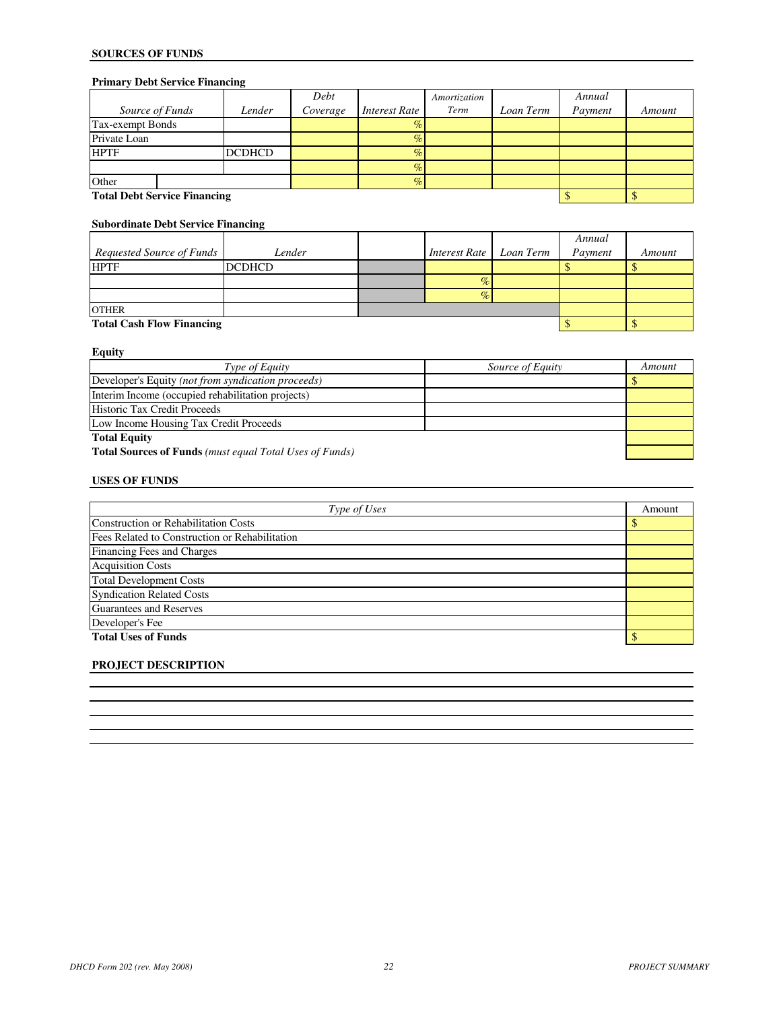# **SOURCES OF FUNDS**

# **Primary Debt Service Financing**

|                                     |               | Debt     |                      | Amortization |           | Annual  |        |
|-------------------------------------|---------------|----------|----------------------|--------------|-----------|---------|--------|
| Source of Funds                     | Lender        | Coverage | <b>Interest Rate</b> | Term         | Loan Term | Payment | Amount |
| Tax-exempt Bonds                    |               |          | $\%$                 |              |           |         |        |
| Private Loan                        |               |          | $\%$                 |              |           |         |        |
| <b>HPTF</b>                         | <b>DCDHCD</b> |          | $\%$                 |              |           |         |        |
|                                     |               |          | $\%$                 |              |           |         |        |
| Other                               |               |          | $\%$                 |              |           |         |        |
| <b>Total Debt Service Financing</b> |               |          |                      |              |           |         |        |

# **Subordinate Debt Service Financing**

|                                  |               |  |               |           | Annual  |        |  |
|----------------------------------|---------------|--|---------------|-----------|---------|--------|--|
| Requested Source of Funds        | Lender        |  | Interest Rate | Loan Term | Payment | Amount |  |
| <b>HPTF</b>                      | <b>DCDHCD</b> |  |               |           |         |        |  |
|                                  |               |  |               |           |         |        |  |
|                                  |               |  |               |           |         |        |  |
| <b>OTHER</b>                     |               |  |               |           |         |        |  |
| <b>Total Cash Flow Financing</b> |               |  |               |           |         |        |  |

**Equity**

| Type of Equity                                                 | Source of Equity | Amount |  |  |
|----------------------------------------------------------------|------------------|--------|--|--|
| Developer's Equity (not from syndication proceeds)             |                  |        |  |  |
| Interim Income (occupied rehabilitation projects)              |                  |        |  |  |
| Historic Tax Credit Proceeds                                   |                  |        |  |  |
| Low Income Housing Tax Credit Proceeds                         |                  |        |  |  |
| <b>Total Equity</b>                                            |                  |        |  |  |
| <b>Total Sources of Funds</b> (must equal Total Uses of Funds) |                  |        |  |  |

#### **USES OF FUNDS**

| Type of Uses                                   | Amount |
|------------------------------------------------|--------|
| <b>Construction or Rehabilitation Costs</b>    |        |
| Fees Related to Construction or Rehabilitation |        |
| Financing Fees and Charges                     |        |
| <b>Acquisition Costs</b>                       |        |
| <b>Total Development Costs</b>                 |        |
| <b>Syndication Related Costs</b>               |        |
| Guarantees and Reserves                        |        |
| Developer's Fee                                |        |
| <b>Total Uses of Funds</b>                     |        |

#### **PROJECT DESCRIPTION**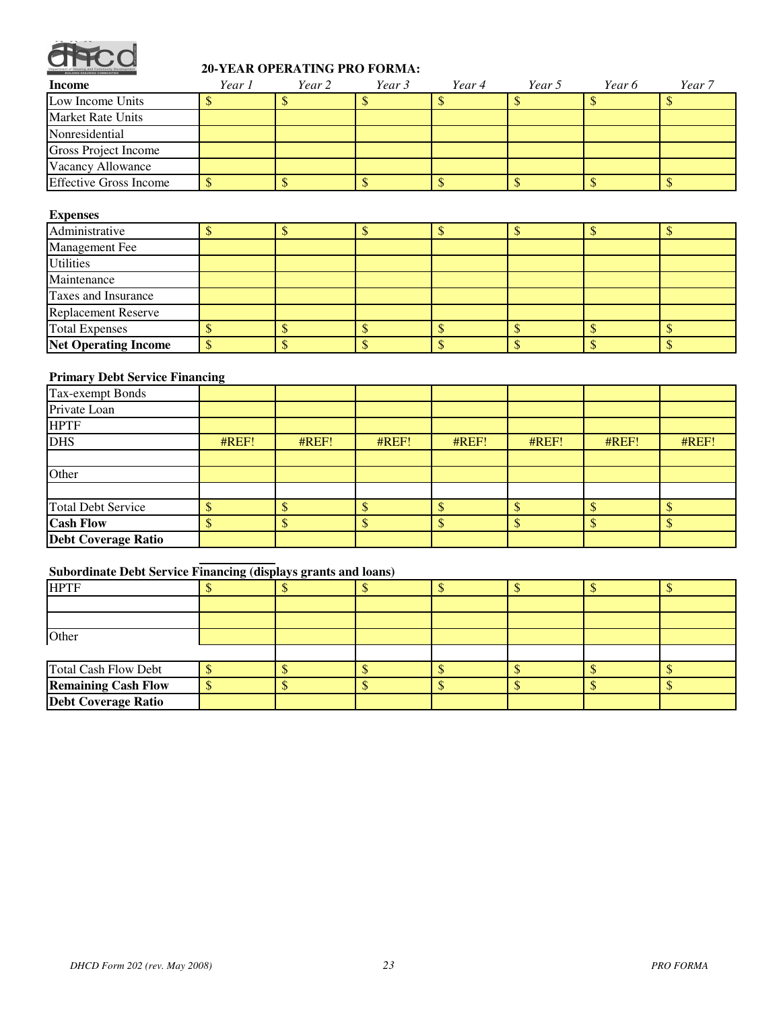

# **20-YEAR OPERATING PRO FORMA:**

| Income                        | Year 1 | Year 2 | Year 3 | Year 4 | Year 5 | Year 6 | Year 7 |
|-------------------------------|--------|--------|--------|--------|--------|--------|--------|
| Low Income Units              |        |        |        |        |        |        |        |
| <b>Market Rate Units</b>      |        |        |        |        |        |        |        |
| Nonresidential                |        |        |        |        |        |        |        |
| Gross Project Income          |        |        |        |        |        |        |        |
| Vacancy Allowance             |        |        |        |        |        |        |        |
| <b>Effective Gross Income</b> |        |        |        |        |        |        |        |

#### **Expenses**

| Administrative              |  |  |  |  |  |  |  |  |
|-----------------------------|--|--|--|--|--|--|--|--|
| Management Fee              |  |  |  |  |  |  |  |  |
| <b>Utilities</b>            |  |  |  |  |  |  |  |  |
| Maintenance                 |  |  |  |  |  |  |  |  |
| Taxes and Insurance         |  |  |  |  |  |  |  |  |
| <b>Replacement Reserve</b>  |  |  |  |  |  |  |  |  |
| <b>Total Expenses</b>       |  |  |  |  |  |  |  |  |
| <b>Net Operating Income</b> |  |  |  |  |  |  |  |  |

# **Primary Debt Service Financing**

| Tax-exempt Bonds           |       |       |       |       |       |       |       |
|----------------------------|-------|-------|-------|-------|-------|-------|-------|
| Private Loan               |       |       |       |       |       |       |       |
| <b>HPTF</b>                |       |       |       |       |       |       |       |
| <b>DHS</b>                 | #REF! | #REF! | #REF! | HREF! | HREF! | #REF! | #REF! |
|                            |       |       |       |       |       |       |       |
| Other                      |       |       |       |       |       |       |       |
|                            |       |       |       |       |       |       |       |
| <b>Total Debt Service</b>  |       |       |       |       |       |       |       |
| <b>Cash Flow</b>           |       |       |       |       |       |       |       |
| <b>Debt Coverage Ratio</b> |       |       |       |       |       |       |       |

# **Subordinate Debt Service Financing (displays grants and loans)**

| <b>HPTF</b>                 |  |  |  |  |
|-----------------------------|--|--|--|--|
|                             |  |  |  |  |
|                             |  |  |  |  |
| Other                       |  |  |  |  |
|                             |  |  |  |  |
| <b>Total Cash Flow Debt</b> |  |  |  |  |
| <b>Remaining Cash Flow</b>  |  |  |  |  |
| <b>Debt Coverage Ratio</b>  |  |  |  |  |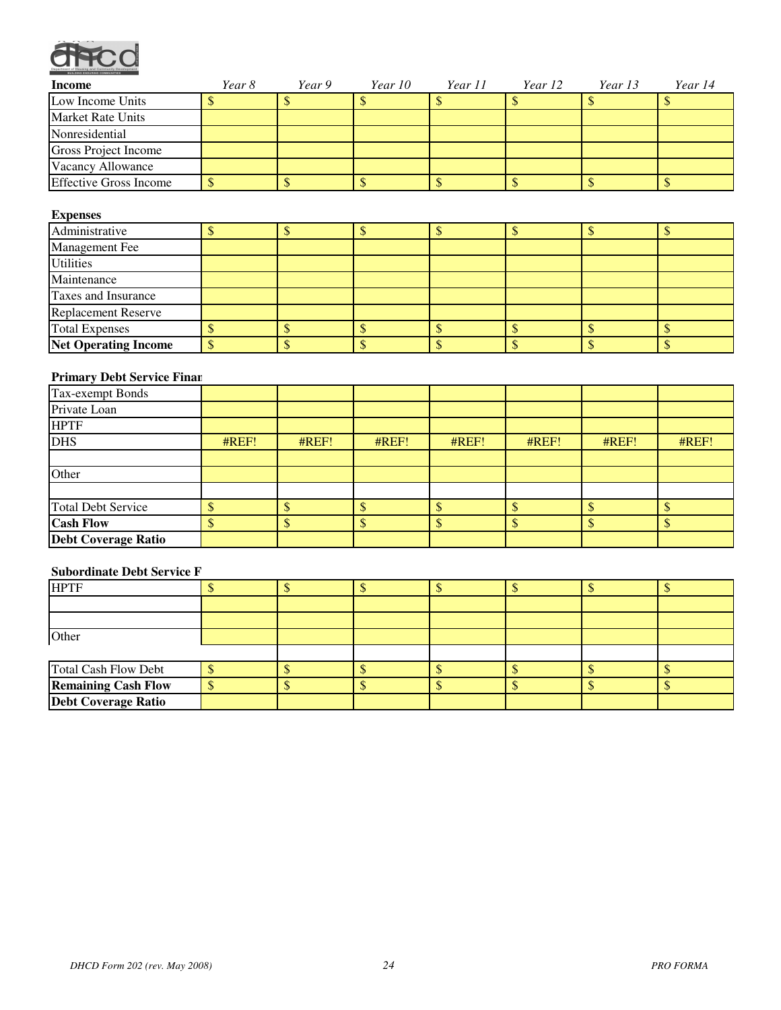

| <b>Income</b>                 | Year 8 | Year 9 | Year 10 | Year 11 | Year 12 | Year 13 | Year 14 |
|-------------------------------|--------|--------|---------|---------|---------|---------|---------|
| Low Income Units              |        |        |         |         |         |         |         |
| <b>Market Rate Units</b>      |        |        |         |         |         |         |         |
| Nonresidential                |        |        |         |         |         |         |         |
| Gross Project Income          |        |        |         |         |         |         |         |
| Vacancy Allowance             |        |        |         |         |         |         |         |
| <b>Effective Gross Income</b> |        |        |         |         |         |         |         |

### **Expenses**

| Administrative              |  |  |  |  |
|-----------------------------|--|--|--|--|
| <b>Management Fee</b>       |  |  |  |  |
| <b>Utilities</b>            |  |  |  |  |
| Maintenance                 |  |  |  |  |
| Taxes and Insurance         |  |  |  |  |
| <b>Replacement Reserve</b>  |  |  |  |  |
| <b>Total Expenses</b>       |  |  |  |  |
| <b>Net Operating Income</b> |  |  |  |  |

# **Primary Debt Service Finan**

| Tax-exempt Bonds           |       |       |       |       |       |       |       |
|----------------------------|-------|-------|-------|-------|-------|-------|-------|
| Private Loan               |       |       |       |       |       |       |       |
| <b>HPTF</b>                |       |       |       |       |       |       |       |
| <b>DHS</b>                 | #REF! | #REF! | #REF! | HREF! | #REF! | #REF! | #REF! |
|                            |       |       |       |       |       |       |       |
| Other                      |       |       |       |       |       |       |       |
|                            |       |       |       |       |       |       |       |
| <b>Total Debt Service</b>  |       |       |       |       |       |       |       |
| <b>Cash Flow</b>           |       |       |       |       |       |       |       |
| <b>Debt Coverage Ratio</b> |       |       |       |       |       |       |       |

# **Subordinate Debt Service F**

| <b>HPTF</b>                |  |  |  |  |
|----------------------------|--|--|--|--|
|                            |  |  |  |  |
|                            |  |  |  |  |
| Other                      |  |  |  |  |
|                            |  |  |  |  |
| Total Cash Flow Debt       |  |  |  |  |
| <b>Remaining Cash Flow</b> |  |  |  |  |
| <b>Debt Coverage Ratio</b> |  |  |  |  |